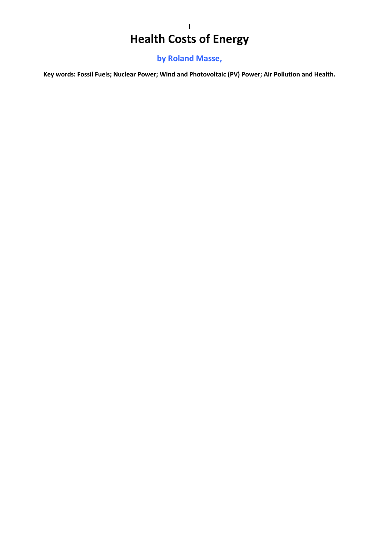# 1 **Health Costs of Energy**

**by Roland Masse,**

**Key words: Fossil Fuels; Nuclear Power; Wind and Photovoltaic (PV) Power; Air Pollution and Health.**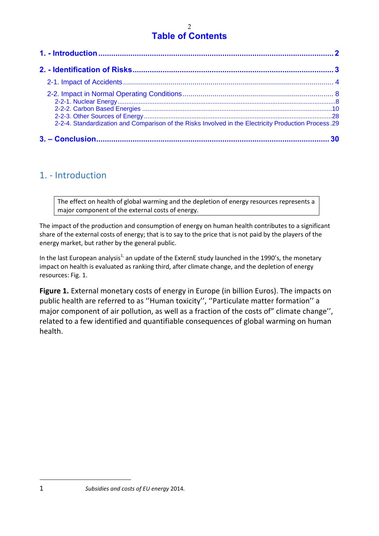### $\mathfrak{D}$ **Table of Contents**

| 2-2-4. Standardization and Comparison of the Risks Involved in the Electricity Production Process. 29 |  |
|-------------------------------------------------------------------------------------------------------|--|
|                                                                                                       |  |

## <span id="page-1-0"></span>1. - Introduction

The effect on health of global warming and the depletion of energy resources represents a major component of the external costs of energy.

The impact of the production and consumption of energy on human health contributes to a significant share of the external costs of energy; that is to say to the price that is not paid by the players of the energy market, but rather by the general public.

In the last European analysis<sup>1,</sup> an update of the ExternE study launched in the 1990's, the monetary impact on health is evaluated as ranking third, after climate change, and the depletion of energy resources: Fig. 1.

**Figure 1.** External monetary costs of energy in Europe (in billion Euros). The impacts on public health are referred to as ''Human toxicity'', ''Particulate matter formation'' a major component of air pollution, as well as a fraction of the costs of" climate change'', related to a few identified and quantifiable consequences of global warming on human health.

<sup>1</sup> *Subsidies and costs of EU energy* 2014*.*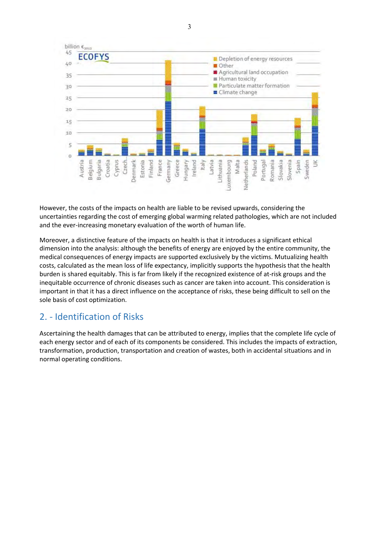

However, the costs of the impacts on health are liable to be revised upwards, considering the uncertainties regarding the cost of emerging global warming related pathologies, which are not included and the ever-increasing monetary evaluation of the worth of human life.

Moreover, a distinctive feature of the impacts on health is that it introduces a significant ethical dimension into the analysis: although the benefits of energy are enjoyed by the entire community, the medical consequences of energy impacts are supported exclusively by the victims. Mutualizing health costs, calculated as the mean loss of life expectancy, implicitly supports the hypothesis that the health burden is shared equitably. This is far from likely if the recognized existence of at-risk groups and the inequitable occurrence of chronic diseases such as cancer are taken into account. This consideration is important in that it has a direct influence on the acceptance of risks, these being difficult to sell on the sole basis of cost optimization.

# <span id="page-2-0"></span>2. - Identification of Risks

Ascertaining the health damages that can be attributed to energy, implies that the complete life cycle of each energy sector and of each of its components be considered. This includes the impacts of extraction, transformation, production, transportation and creation of wastes, both in accidental situations and in normal operating conditions.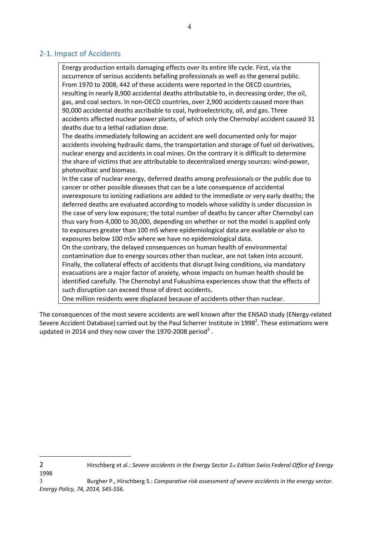### <span id="page-3-0"></span>2-1. Impact of Accidents

Energy production entails damaging effects over its entire life cycle. First, via the occurrence of serious accidents befalling professionals as well as the general public. From 1970 to 2008, 442 of these accidents were reported in the OECD countries, resulting in nearly 8,900 accidental deaths attributable to, in decreasing order, the oil, gas, and coal sectors. In non-OECD countries, over 2,900 accidents caused more than 90,000 accidental deaths ascribable to coal, hydroelectricity, oil, and gas. Three accidents affected nuclear power plants, of which only the Chernobyl accident caused 31 deaths due to a lethal radiation dose.

The deaths immediately following an accident are well documented only for major accidents involving hydraulic dams, the transportation and storage of fuel oil derivatives, nuclear energy and accidents in coal mines. On the contrary it is difficult to determine the share of victims that are attributable to decentralized energy sources: wind-power, photovoltaic and biomass.

In the case of nuclear energy, deferred deaths among professionals or the public due to cancer or other possible diseases that can be a late consequence of accidental overexposure to ionizing radiations are added to the immediate or very early deaths; the deferred deaths are evaluated according to models whose validity is under discussion in the case of very low exposure; the total number of deaths by cancer after Chernobyl can thus vary from 4,000 to 30,000, depending on whether or not the model is applied only to exposures greater than 100 mS where epidemiological data are available or also to exposures below 100 mSv where we have no epidemiological data.

On the contrary, the delayed consequences on human health of environmental contamination due to energy sources other than nuclear, are not taken into account. Finally, the collateral effects of accidents that disrupt living conditions, via mandatory evacuations are a major factor of anxiety, whose impacts on human health should be identified carefully. The Chernobyl and Fukushima experiences show that the effects of such disruption can exceed those of direct accidents.

One million residents were displaced because of accidents other than nuclear.

The consequences of the most severe accidents are well known after the ENSAD study (ENergy-related Severe Accident Database) carried out by the Paul Scherrer Institute in 1998<sup>2</sup>. These estimations were updated in 2014 and they now cover the 1970-2008 period<sup>3</sup>.

1998

<sup>2</sup> Hirschberg et al.: *Severe accidents in the Energy Sector 1st Edition Swiss Federal Office of Energy* 

<sup>3</sup> Burgher P., Hirschberg S.: *Comparative risk assessment of severe accidents in the energy sector. Energy Policy, 74, 2014, S45-S56.*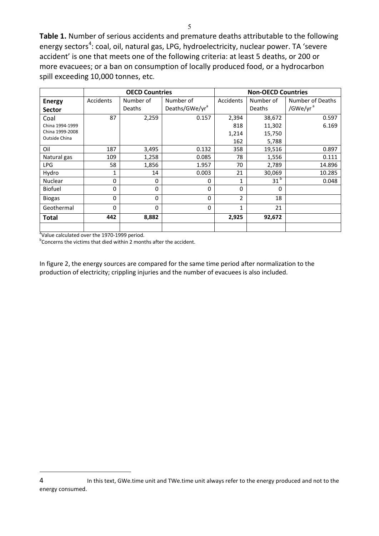**Table 1.** Number of serious accidents and premature deaths attributable to the following energy sectors<sup>4</sup>: coal, oil, natural gas, LPG, hydroelectricity, nuclear power. TA 'severe accident' is one that meets one of the following criteria: at least 5 deaths, or 200 or more evacuees; or a ban on consumption of locally produced food, or a hydrocarbon spill exceeding 10,000 tonnes, etc.

|                 |           | <b>OECD Countries</b> |                            | <b>Non-OECD Countries</b> |                 |                      |  |  |  |
|-----------------|-----------|-----------------------|----------------------------|---------------------------|-----------------|----------------------|--|--|--|
| <b>Energy</b>   | Accidents | Number of             | Number of                  | Accidents                 | Number of       | Number of Deaths     |  |  |  |
| <b>Sector</b>   |           | Deaths                | Deaths/GWe/yr <sup>a</sup> |                           | <b>Deaths</b>   | /GWe/yr <sup>a</sup> |  |  |  |
| Coal            | 87        | 2,259                 | 0.157                      | 2,394                     | 38,672          | 0.597                |  |  |  |
| China 1994-1999 |           |                       |                            | 818                       | 11,302          | 6.169                |  |  |  |
| China 1999-2008 |           |                       |                            | 1,214                     | 15,750          |                      |  |  |  |
| Outside China   |           |                       |                            | 162                       | 5,788           |                      |  |  |  |
| Oil             | 187       | 3,495                 | 0.132                      | 358                       | 19,516          | 0.897                |  |  |  |
| Natural gas     | 109       | 1,258                 | 0.085                      | 78                        | 1,556           | 0.111                |  |  |  |
| LPG             | 58        | 1,856                 | 1.957                      | 70                        | 2,789           | 14.896               |  |  |  |
| Hydro           | 1         | 14                    | 0.003                      | 21                        | 30,069          | 10.285               |  |  |  |
| Nuclear         | 0         | 0                     | 0                          | 1                         | 31 <sup>b</sup> | 0.048                |  |  |  |
| <b>Biofuel</b>  | 0         | 0                     | 0                          | $\Omega$                  | 0               |                      |  |  |  |
| <b>Biogas</b>   | 0         | 0                     | 0                          | 2                         | 18              |                      |  |  |  |
| Geothermal      | 0         | 0                     | 0                          | 1                         | 21              |                      |  |  |  |
| <b>Total</b>    | 442       | 8,882                 |                            | 2,925                     | 92,672          |                      |  |  |  |
|                 |           |                       |                            |                           |                 |                      |  |  |  |

aValue calculated over the 1970-1999 period.

 $\overline{a}$ 

<sup>b</sup>Concerns the victims that died within 2 months after the accident.

In figure 2, the energy sources are compared for the same time period after normalization to the production of electricity; crippling injuries and the number of evacuees is also included.

<sup>4</sup> In this text, GWe.time unit and TWe.time unit always refer to the energy produced and not to the energy consumed.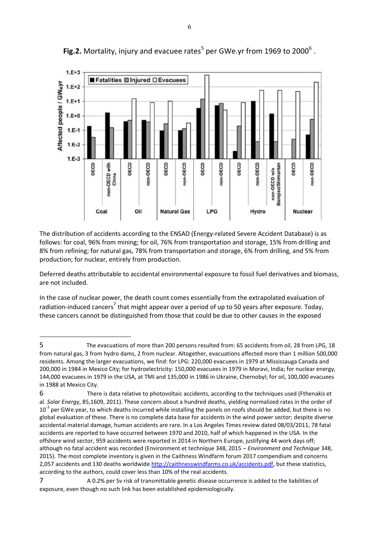

Fig.2. Mortality, injury and evacuee rates<sup>5</sup> per GWe.yr from 1969 to 2000<sup>6</sup>.

The distribution of accidents according to the ENSAD (Energy-related Severe Accident Database) is as follows: for coal, 96% from mining; for oil, 76% from transportation and storage, 15% from drilling and 8% from refining; for natural gas, 78% from transportation and storage, 6% from drilling, and 5% from production; for nuclear, entirely from production.

Deferred deaths attributable to accidental environmental exposure to fossil fuel derivatives and biomass, are not included.

In the case of nuclear power, the death count comes essentially from the extrapolated evaluation of radiation-induced cancers<sup>7</sup> that might appear over a period of up to 50 years after exposure. Today, these cancers cannot be distinguished from those that could be due to other causes in the exposed

 $\overline{a}$ 

<sup>5</sup> The evacuations of more than 200 persons resulted from: 65 accidents from oil, 28 from LPG, 18 from natural gas, 3 from hydro dams, 2 from nuclear. Altogether, evacuations affected more than 1 million 500,000 residents. Among the larger evacuations, we find: for LPG: 220,000 evacuees in 1979 at Mississauga Canada and 200,000 in 1984 in Mexico City; for hydroelectricity: 150,000 evacuees in 1979 in Moravi, India; for nuclear energy, 144,000 evacuees in 1979 in the USA, at TMI and 135,000 in 1986 in Ukraine, Chernobyl; for oil, 100,000 evacuees in 1988 at Mexico City.

<sup>6</sup> There is data relative to photovoltaic accidents, according to the techniques used (Fthenakis et al. *Solar Energy*, 85,1609, 2011). These concern about a hundred deaths, yielding normalized rates in the order of  $10<sup>-3</sup>$  per GWe.year, to which deaths incurred while installing the panels on roofs should be added, but there is no global evaluation of these. There is no complete data base for accidents in the wind power sector; despite diverse accidental material damage, human accidents are rare. In a Los Angeles Times review dated 08/03/2011, 78 fatal accidents are reported to have occurred between 1970 and 2010, half of which happened in the USA. In the offshore wind sector, 959 accidents were reported in 2014 in Northern Europe, justifying 44 work days off; although no fatal accident was recorded (Environment et technique 348, 2015 – *Environment and Technique* 348, 2015). The most complete inventory is given in the Caithness Windfarm forum 2017 compendium and concerns 2,057 accidents and 130 deaths worldwide [http://caithnesswindfarms.co.uk/accidents.pdf,](http://caithnesswindfarms.co.uk/accidents.pdf) but these statistics, according to the authors, could cover less than 10% of the real accidents.

<sup>7</sup> A 0.2% per Sv risk of transmittable genetic disease occurrence is added to the liabilities of exposure, even though no such link has been established epidemiologically.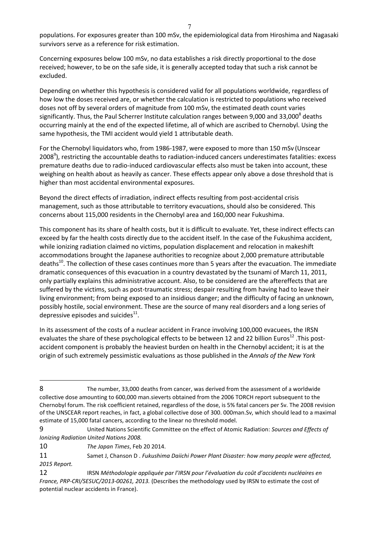populations. For exposures greater than 100 mSv, the epidemiological data from Hiroshima and Nagasaki survivors serve as a reference for risk estimation.

Concerning exposures below 100 mSv, no data establishes a risk directly proportional to the dose received; however, to be on the safe side, it is generally accepted today that such a risk cannot be excluded.

Depending on whether this hypothesis is considered valid for all populations worldwide, regardless of how low the doses received are, or whether the calculation is restricted to populations who received doses not off by several orders of magnitude from 100 mSv, the estimated death count varies significantly. Thus, the Paul Scherrer Institute calculation ranges between 9,000 and 33,000<sup>8</sup> deaths occurring mainly at the end of the expected lifetime, all of which are ascribed to Chernobyl. Using the same hypothesis, the TMI accident would yield 1 attributable death.

For the Chernobyl liquidators who, from 1986-1987, were exposed to more than 150 mSv (Unscear 2008<sup>9</sup>), restricting the accountable deaths to radiation-induced cancers underestimates fatalities: excess premature deaths due to radio-induced cardiovascular effects also must be taken into account, these weighing on health about as heavily as cancer. These effects appear only above a dose threshold that is higher than most accidental environmental exposures.

Beyond the direct effects of irradiation, indirect effects resulting from post-accidental crisis management, such as those attributable to territory evacuations, should also be considered. This concerns about 115,000 residents in the Chernobyl area and 160,000 near Fukushima.

This component has its share of health costs, but it is difficult to evaluate. Yet, these indirect effects can exceed by far the health costs directly due to the accident itself. In the case of the Fukushima accident, while ionizing radiation claimed no victims, population displacement and relocation in makeshift accommodations brought the Japanese authorities to recognize about 2,000 premature attributable deaths<sup>10</sup>. The collection of these cases continues more than 5 years after the evacuation. The immediate dramatic consequences of this evacuation in a country devastated by the tsunami of March 11, 2011, only partially explains this administrative account. Also, to be considered are the aftereffects that are suffered by the victims, such as post-traumatic stress; despair resulting from having had to leave their living environment; from being exposed to an insidious danger; and the difficulty of facing an unknown, possibly hostile, social environment. These are the source of many real disorders and a long series of depressive episodes and suicides $^{11}$ .

In its assessment of the costs of a nuclear accident in France involving 100,000 evacuees, the IRSN evaluates the share of these psychological effects to be between 12 and 22 billion Euros<sup>12</sup>. This postaccident component is probably the heaviest burden on health in the Chernobyl accident; it is at the origin of such extremely pessimistic evaluations as those published in the *Annals of the New York* 

<sup>8</sup> The number, 33,000 deaths from cancer, was derived from the assessment of a worldwide collective dose amounting to 600,000 man.sieverts obtained from the 2006 TORCH report subsequent to the Chernobyl forum. The risk coefficient retained, regardless of the dose, is 5% fatal cancers per Sv. The 2008 revision of the UNSCEAR report reaches, in fact, a global collective dose of 300. 000man.Sv, which should lead to a maximal estimate of 15,000 fatal cancers, according to the linear no threshold model.

<sup>9</sup> United Nations Scientific Committee on the effect of Atomic Radiation: *Sources and Effects of Ionizing Radiation United Nations 2008.*

<sup>10</sup> *The Japan Times*, Feb 20 2014.

<sup>11</sup> Samet J, Chanson D . *Fukushima Daiichi Power Plant Disaster: how many people were affected, 2015 Report.* 

<sup>12</sup> IRSN *Méthodologie appliquée par l'IRSN pour l'évaluation du coût d'accidents nucléaires en France, PRP-CRI/SESUC/2013-00261, 2013.* (Describes the methodology used by IRSN to estimate the cost of potential nuclear accidents in France).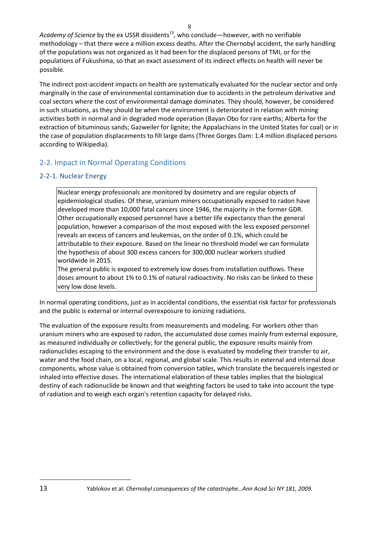Academy of Science by the ex USSR dissidents<sup>13</sup>, who conclude—however, with no verifiable methodology – that there were a million excess deaths. After the Chernobyl accident, the early handling of the populations was not organized as it had been for the displaced persons of TMI, or for the populations of Fukushima, so that an exact assessment of its indirect effects on health will never be possible.

The indirect post-accident impacts on health are systematically evaluated for the nuclear sector and only marginally in the case of environmental contamination due to accidents in the petroleum derivative and coal sectors where the cost of environmental damage dominates. They should, however, be considered in such situations, as they should be when the environment is deteriorated in relation with mining activities both in normal and in degraded mode operation (Bayan Obo for rare earths; Alberta for the extraction of bituminous sands; Gazweiler for lignite; the Appalachians in the United States for coal) or in the case of population displacements to fill large dams (Three Gorges Dam: 1.4 million displaced persons according to Wikipedia).

## <span id="page-7-0"></span>2-2. Impact in Normal Operating Conditions

### <span id="page-7-1"></span>2-2-1. Nuclear Energy

Nuclear energy professionals are monitored by dosimetry and are regular objects of epidemiological studies. Of these, uranium miners occupationally exposed to radon have developed more than 10,000 fatal cancers since 1946, the majority in the former GDR. Other occupationally exposed personnel have a better life expectancy than the general population, however a comparison of the most exposed with the less exposed personnel reveals an excess of cancers and leukemias, on the order of 0.1%, which could be attributable to their exposure. Based on the linear no threshold model we can formulate the hypothesis of about 300 excess cancers for 300,000 nuclear workers studied worldwide in 2015.

The general public is exposed to extremely low doses from installation outflows. These doses amount to about 1% to 0.1% of natural radioactivity. No risks can be linked to these very low dose levels.

In normal operating conditions, just as in accidental conditions, the essential risk factor for professionals and the public is external or internal overexposure to ionizing radiations.

The evaluation of the exposure results from measurements and modeling. For workers other than uranium miners who are exposed to radon, the accumulated dose comes mainly from external exposure, as measured individually or collectively; for the general public, the exposure results mainly from radionuclides escaping to the environment and the dose is evaluated by modeling their transfer to air, water and the food chain, on a local, regional, and global scale. This results in external and internal dose components, whose value is obtained from conversion tables, which translate the becquerels ingested or inhaled into effective doses. The international elaboration of these tables implies that the biological destiny of each radionuclide be known and that weighting factors be used to take into account the type of radiation and to weigh each organ's retention capacity for delayed risks.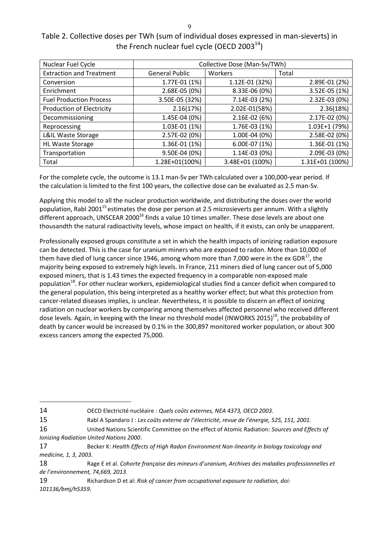| I            |        |  |
|--------------|--------|--|
|              | I<br>ĉ |  |
| I<br>۰.<br>v |        |  |

## Table 2. Collective doses per TWh (sum of individual doses expressed in man-sieverts) in the French nuclear fuel cycle (OECD 2003 $^{14}$ )

| Nuclear Fuel Cycle               | Collective Dose (Man-Sv/TWh) |                 |                 |  |  |  |  |  |
|----------------------------------|------------------------------|-----------------|-----------------|--|--|--|--|--|
| <b>Extraction and Treatment</b>  | <b>General Public</b>        | Workers         | Total           |  |  |  |  |  |
| Conversion                       | 1.77E-01 (1%)                | 1.12E-01 (32%)  | 2.89E-01 (2%)   |  |  |  |  |  |
| Enrichment                       | 2.68E-05 (0%)                | 8.33E-06 (0%)   | 3.52E-05 (1%)   |  |  |  |  |  |
| <b>Fuel Production Process</b>   | 3.50E-05 (32%)               | 7.14E-03 (2%)   | 2.32E-03 (0%)   |  |  |  |  |  |
| <b>Production of Electricity</b> | 2.16(17%)                    | 2.02E-01(58%)   | 2.36(18%)       |  |  |  |  |  |
| Decommissioning                  | 1.45E-04 (0%)                | 2.16E-02 (6%)   | 2.17E-02 (0%)   |  |  |  |  |  |
| Reprocessing                     | 1.03E-01 (1%)                | 1.76E-03 (1%)   | 1.03E+1 (79%)   |  |  |  |  |  |
| L&IL Waste Storage               | 2.57E-02 (0%)                | 1.00E-04 (0%)   | 2.58E-02 (0%)   |  |  |  |  |  |
| <b>HL Waste Storage</b>          | 1.36E-01 (1%)                | 6.00E-07 (1%)   | 1.36E-01 (1%)   |  |  |  |  |  |
| Transportation                   | 9.50E-04 (0%)                | 1.14E-03 (0%)   | 2.09E-03 (0%)   |  |  |  |  |  |
| Total                            | 1.28E+01(100%)               | 3.48E+01 (100%) | 1.31E+01 (100%) |  |  |  |  |  |

For the complete cycle, the outcome is 13.1 man-Sv per TWh calculated over a 100,000-year period. If the calculation is limited to the first 100 years, the collective dose can be evaluated as 2.5 man-Sv.

Applying this model to all the nuclear production worldwide, and distributing the doses over the world population, Rabl 2001<sup>15</sup> estimates the dose per person at 2.5 microsieverts per annum. With a slightly different approach, UNSCEAR 2000 $^{16}$  finds a value 10 times smaller. These dose levels are about one thousandth the natural radioactivity levels, whose impact on health, if it exists, can only be unapparent.

Professionally exposed groups constitute a set in which the health impacts of ionizing radiation exposure can be detected. This is the case for uranium miners who are exposed to radon. More than 10,000 of them have died of lung cancer since 1946, among whom more than 7,000 were in the ex GDR $^{17}$ , the majority being exposed to extremely high levels. In France, 211 miners died of lung cancer out of 5,000 exposed miners, that is 1.43 times the expected frequency in a comparable non-exposed male population<sup>18</sup>. For other nuclear workers, epidemiological studies find a cancer deficit when compared to the general population, this being interpreted as a healthy worker effect; but what this protection from cancer-related diseases implies, is unclear. Nevertheless, it is possible to discern an effect of ionizing radiation on nuclear workers by comparing among themselves affected personnel who received different dose levels. Again, in keeping with the linear no threshold model (INWORKS 2015)<sup>19</sup>, the probability of death by cancer would be increased by 0.1% in the 300,897 monitored worker population, or about 300 excess cancers among the expected 75,000.

14 OECD Electricité nucléaire : *Quels coûts externes, NEA 4373, OECD 2003.*

- 15 Rabl A Spandaro J : *Les coûts externe de l'électricité, revue de l'énergie, 525, 151, 2001.*
- 16 United Nations Scientific Committee on the effect of Atomic Radiation: *Sources and Effects of Ionizing Radiation United Nations 2000*.
- 17 Becker K: *Health Effects of High Radon Environment Non-linearity in biology toxicology and medicine, 1, 3, 2003.*
- 18 Rage E et al. *Cohorte française des mineurs d'uranium, Archives des maladies professionnelles et de l'environnement, 74,669, 2013.*
- 19 Richardson D et al: *Risk of cancer from occupational exposure to radiation, doi: 101136/bmj/h5359*.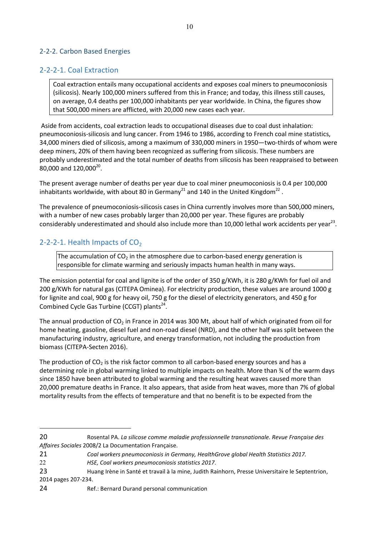### <span id="page-9-0"></span>2-2-2. Carbon Based Energies

### 2-2-2-1. Coal Extraction

Coal extraction entails many occupational accidents and exposes coal miners to pneumoconiosis (silicosis). Nearly 100,000 miners suffered from this in France; and today, this illness still causes, on average, 0.4 deaths per 100,000 inhabitants per year worldwide. In China, the figures show that 500,000 miners are afflicted, with 20,000 new cases each year.

 Aside from accidents, coal extraction leads to occupational diseases due to coal dust inhalation: pneumoconiosis-silicosis and lung cancer. From 1946 to 1986, according to French coal mine statistics, 34,000 miners died of silicosis, among a maximum of 330,000 miners in 1950—two-thirds of whom were deep miners, 20% of them having been recognized as suffering from silicosis. These numbers are probably underestimated and the total number of deaths from silicosis has been reappraised to between  $80,000$  and  $120,000^{20}$ .

The present average number of deaths per year due to coal miner pneumoconiosis is 0.4 per 100,000 inhabitants worldwide, with about 80 in Germany<sup>21</sup> and 140 in the United Kingdom<sup>22</sup>.

The prevalence of pneumoconiosis-silicosis cases in China currently involves more than 500,000 miners, with a number of new cases probably larger than 20,000 per year. These figures are probably considerably underestimated and should also include more than 10,000 lethal work accidents per year<sup>23</sup>.

## 2-2-2-1. Health Impacts of  $CO<sub>2</sub>$

 $\overline{a}$ 

The accumulation of  $CO<sub>2</sub>$  in the atmosphere due to carbon-based energy generation is responsible for climate warming and seriously impacts human health in many ways.

The emission potential for coal and lignite is of the order of 350 g/KWh, it is 280 g/KWh for fuel oil and 200 g/KWh for natural gas (CITEPA Ominea). For electricity production, these values are around 1000 g for lignite and coal, 900 g for heavy oil, 750 g for the diesel of electricity generators, and 450 g for Combined Cycle Gas Turbine (CCGT) plants $^{24}$ .

The annual production of  $CO<sub>2</sub>$  in France in 2014 was 300 Mt, about half of which originated from oil for home heating, gasoline, diesel fuel and non-road diesel (NRD), and the other half was split between the manufacturing industry, agriculture, and energy transformation, not including the production from biomass (CITEPA-Secten 2016).

The production of  $CO<sub>2</sub>$  is the risk factor common to all carbon-based energy sources and has a determining role in global warming linked to multiple impacts on health. More than ¾ of the warm days since 1850 have been attributed to global warming and the resulting heat waves caused more than 20,000 premature deaths in France. It also appears, that aside from heat waves, more than 7% of global mortality results from the effects of temperature and that no benefit is to be expected from the

<sup>20</sup> Rosental PA. *La silicose comme maladie professionnelle transnationale. Revue Française des Affaires Sociales* 2008/2 La Documentation Française.

<sup>21</sup> *Coal workers pneumoconiosis in Germany, HealthGrove global Health Statistics 2017.* 

<sup>22</sup> *HSE, Coal workers pneumoconiosis statistics 2017*.

<sup>23</sup> Huang Irène in Santé et travail à la mine, Judith Rainhorn, Presse Universitaire le Septentrion, 2014 pages 207-234.

<sup>24</sup> Ref.: Bernard Durand personal communication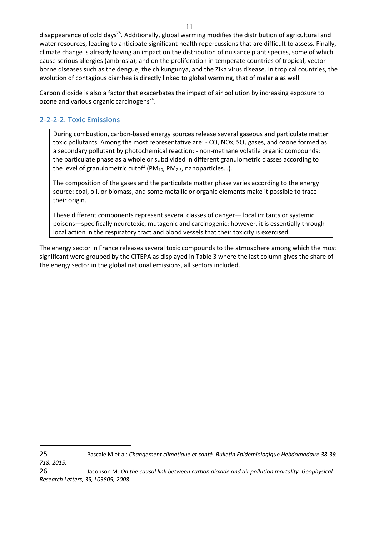disappearance of cold days<sup>25</sup>. Additionally, global warming modifies the distribution of agricultural and water resources, leading to anticipate significant health repercussions that are difficult to assess. Finally, climate change is already having an impact on the distribution of nuisance plant species, some of which cause serious allergies (ambrosia); and on the proliferation in temperate countries of tropical, vectorborne diseases such as the dengue, the chikungunya, and the Zika virus disease. In tropical countries, the evolution of contagious diarrhea is directly linked to global warming, that of malaria as well.

Carbon dioxide is also a factor that exacerbates the impact of air pollution by increasing exposure to ozone and various organic carcinogens<sup>26</sup>.

## 2-2-2-2. Toxic Emissions

 $\overline{a}$ 

During combustion, carbon-based energy sources release several gaseous and particulate matter toxic pollutants. Among the most representative are:  $\text{- CO}$ , NOx, SO<sub>2</sub> gases, and ozone formed as a secondary pollutant by photochemical reaction; - non-methane volatile organic compounds; the particulate phase as a whole or subdivided in different granulometric classes according to the level of granulometric cutoff (PM $_{10}$ , PM $_{2.5}$ , nanoparticles...).

The composition of the gases and the particulate matter phase varies according to the energy source: coal, oil, or biomass, and some metallic or organic elements make it possible to trace their origin.

These different components represent several classes of danger— local irritants or systemic poisons—specifically neurotoxic, mutagenic and carcinogenic; however, it is essentially through local action in the respiratory tract and blood vessels that their toxicity is exercised.

The energy sector in France releases several toxic compounds to the atmosphere among which the most significant were grouped by the CITEPA as displayed in Table 3 where the last column gives the share of the energy sector in the global national emissions, all sectors included.

25 Pascale M et al: *Changement climatique et santé. Bulletin Epidémiologique Hebdomadaire 38-39, 718, 2015.*

26 Jacobson M: *On the causal link between carbon dioxide and air pollution mortality. Geophysical Research Letters, 35, L03809, 2008.*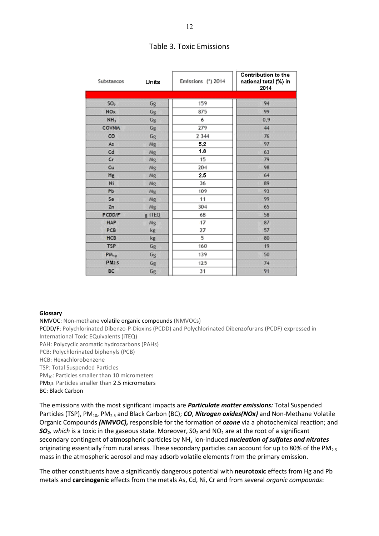| Substances        | <b>Units</b> | Emissions (*) 2014 | <b>Contribution to the</b><br>national total (%) in<br>2014 |
|-------------------|--------------|--------------------|-------------------------------------------------------------|
|                   |              |                    |                                                             |
| SO <sub>2</sub>   | Gg           | 159                | 94                                                          |
| <b>NOx</b>        | Gg           | 875                | 99                                                          |
| NH <sub>3</sub>   | Gg           | 6                  | 0,9                                                         |
| <b>COVNM</b>      | Gg           | 279                | 44                                                          |
| co                | Gg           | 2 3 4 4            | 76                                                          |
| As                | Mg           | 5,2                | 97                                                          |
| Cd                | Mg           | 1.8                | 63                                                          |
| cr                | Mg           | 15                 | 79                                                          |
| Cu                | Mg           | 204                | 98                                                          |
| Hg                | Mg           | 2.5                | 64                                                          |
| Ni                | Mg           | 36                 | 89                                                          |
| PЬ                | Mg           | 109                | 93                                                          |
| Se                | Mg           | 11                 | 99                                                          |
| Zn                | Mg           | 304                | 65                                                          |
| PCDD/F            | g iTEQ       | 68                 | 58                                                          |
| <b>HAP</b>        | Mg           | 17                 | 87                                                          |
| PCB               | kg           | 27                 | 57                                                          |
| <b>HCB</b>        | kg           | 5                  | 80                                                          |
| <b>TSP</b>        | Gg           | 160                | 19                                                          |
| $PM_{10}$         | Gg           | 139                | 50                                                          |
| PM <sub>2.5</sub> | Gg           | 125                | 74                                                          |
| <b>BC</b>         | Gg           | 31                 | 91                                                          |

#### Table 3. Toxic Emissions

#### **Glossary**

NMVOC: Non-methane volatile organic compounds (NMVOCs) PCDD/F: Polychlorinated Dibenzo-P-Dioxins (PCDD) and Polychlorinated Dibenzofurans (PCDF) expressed in International Toxic EQuivalents (iTEQ) PAH: Polycyclic aromatic hydrocarbons (PAHs) PCB: Polychlorinated biphenyls (PCB) HCB: Hexachlorobenzene TSP: Total Suspended Particles PM<sub>10</sub>: Particles smaller than 10 micrometers PM2,5: Particles smaller than 2.5 micrometers BC: Black Carbon

The emissions with the most significant impacts are *Particulate matter emissions:* Total Suspended Particles (TSP), PM<sub>10</sub>, PM<sub>2.5</sub> and Black Carbon (BC); *CO*, *Nitrogen oxides(NOx)* and Non-Methane Volatile Organic Compounds *(NMVOC),* responsible for the formation of *ozone* via a photochemical reaction; and  $SO<sub>2</sub>$ *, which* is a toxic in the gaseous state. Moreover,  $SO<sub>2</sub>$  and NO<sub>2</sub> are at the root of a significant secondary contingent of atmospheric particles by NH<sub>3</sub> ion-induced *nucleation of sulfates and nitrates* originating essentially from rural areas. These secondary particles can account for up to 80% of the PM<sub>2.5</sub> mass in the atmospheric aerosol and may adsorb volatile elements from the primary emission.

The other constituents have a significantly dangerous potential with **neurotoxic** effects from Hg and Pb metals and **carcinogenic** effects from the metals As, Cd, Ni, Cr and from several *organic compounds*: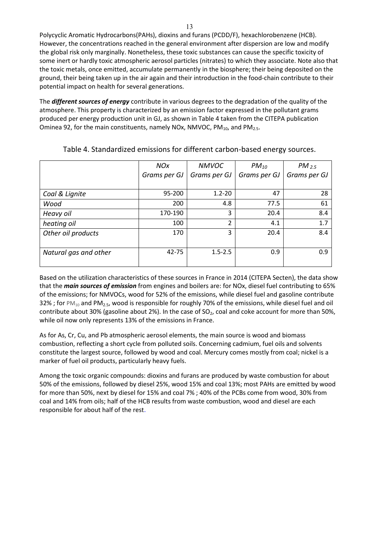Polycyclic Aromatic Hydrocarbons(PAHs), dioxins and furans (PCDD/F), hexachlorobenzene (HCB). However, the concentrations reached in the general environment after dispersion are low and modify the global risk only marginally. Nonetheless, these toxic substances can cause the specific toxicity of some inert or hardly toxic atmospheric aerosol particles (nitrates) to which they associate. Note also that the toxic metals, once emitted, accumulate permanently in the biosphere; their being deposited on the ground, their being taken up in the air again and their introduction in the food-chain contribute to their potential impact on health for several generations.

The *different sources of energy* contribute in various degrees to the degradation of the quality of the atmosphere. This property is characterized by an emission factor expressed in the pollutant grams produced per energy production unit in GJ, as shown in Table 4 taken from the CITEPA publication Ominea 92, for the main constituents, namely NOx, NMVOC, PM $_{10}$ , and PM $_{2.5}$ .

|                       | <b>NOx</b>   | <b>NMVOC</b>   | $PM_{10}$    | $PM_{2.5}$   |
|-----------------------|--------------|----------------|--------------|--------------|
|                       | Grams per GJ | Grams per GJ   | Grams per GJ | Grams per GJ |
|                       |              |                |              |              |
| Coal & Lignite        | 95-200       | $1.2 - 20$     | 47           | 28           |
| Wood                  | 200          | 4.8            | 77.5         | 61           |
| Heavy oil             | 170-190      | 3              | 20.4         | 8.4          |
| heating oil           | 100          | $\overline{2}$ | 4.1          | 1.7          |
| Other oil products    | 170          | 3              | 20.4         | 8.4          |
|                       |              |                |              |              |
| Natural gas and other | $42 - 75$    | $1.5 - 2.5$    | 0.9          | 0.9          |
|                       |              |                |              |              |

Table 4. Standardized emissions for different carbon-based energy sources.

Based on the utilization characteristics of these sources in France in 2014 (CITEPA Secten), the data show that the *main sources of emission* from engines and boilers are: for NOx, diesel fuel contributing to 65% of the emissions; for NMVOCs, wood for 52% of the emissions, while diesel fuel and gasoline contribute 32% ; for PM<sub>10</sub> and PM<sub>2.5</sub>, wood is responsible for roughly 70% of the emissions, while diesel fuel and oil contribute about 30% (gasoline about 2%). In the case of  $SO<sub>2</sub>$ , coal and coke account for more than 50%, while oil now only represents 13% of the emissions in France.

As for As, Cr, Cu, and Pb atmospheric aerosol elements, the main source is wood and biomass combustion, reflecting a short cycle from polluted soils. Concerning cadmium, fuel oils and solvents constitute the largest source, followed by wood and coal. Mercury comes mostly from coal; nickel is a marker of fuel oil products, particularly heavy fuels.

Among the toxic organic compounds: dioxins and furans are produced by waste combustion for about 50% of the emissions, followed by diesel 25%, wood 15% and coal 13%; most PAHs are emitted by wood for more than 50%, next by diesel for 15% and coal 7% ; 40% of the PCBs come from wood, 30% from coal and 14% from oils; half of the HCB results from waste combustion, wood and diesel are each responsible for about half of the rest.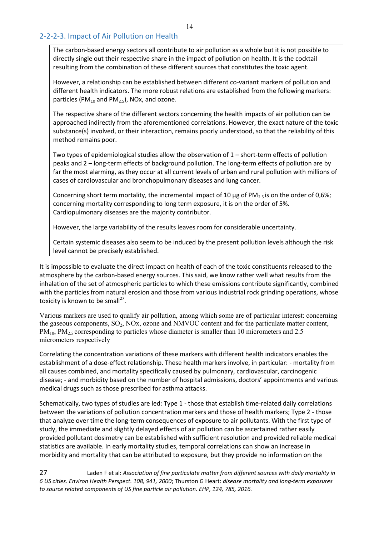### 2-2-2-3. Impact of Air Pollution on Health

The carbon-based energy sectors all contribute to air pollution as a whole but it is not possible to directly single out their respective share in the impact of pollution on health. It is the cocktail resulting from the combination of these different sources that constitutes the toxic agent.

However, a relationship can be established between different co-variant markers of pollution and different health indicators. The more robust relations are established from the following markers: particles (PM $_{10}$  and PM $_{2.5}$ ), NOx, and ozone.

The respective share of the different sectors concerning the health impacts of air pollution can be approached indirectly from the aforementioned correlations. However, the exact nature of the toxic substance(s) involved, or their interaction, remains poorly understood, so that the reliability of this method remains poor.

Two types of epidemiological studies allow the observation of 1 – short-term effects of pollution peaks and 2 – long-term effects of background pollution. The long-term effects of pollution are by far the most alarming, as they occur at all current levels of urban and rural pollution with millions of cases of cardiovascular and bronchopulmonary diseases and lung cancer.

Concerning short term mortality, the incremental impact of 10  $\mu$ g of PM<sub>2.5</sub> is on the order of 0,6%; concerning mortality corresponding to long term exposure, it is on the order of 5%. Cardiopulmonary diseases are the majority contributor.

However, the large variability of the results leaves room for considerable uncertainty.

Certain systemic diseases also seem to be induced by the present pollution levels although the risk level cannot be precisely established.

It is impossible to evaluate the direct impact on health of each of the toxic constituents released to the atmosphere by the carbon-based energy sources. This said, we know rather well what results from the inhalation of the set of atmospheric particles to which these emissions contribute significantly, combined with the particles from natural erosion and those from various industrial rock grinding operations, whose toxicity is known to be small<sup>27</sup>.

Various markers are used to qualify air pollution, among which some are of particular interest: concerning the gaseous components,  $SO_2$ ,  $NOX$ , ozone and  $NMVOC$  content and for the particulate matter content,  $PM_{10}$ ,  $PM_{2.5}$  corresponding to particles whose diameter is smaller than 10 micrometers and 2.5 micrometers respectively

Correlating the concentration variations of these markers with different health indicators enables the establishment of a dose-effect relationship. These health markers involve, in particular: - mortality from all causes combined, and mortality specifically caused by pulmonary, cardiovascular, carcinogenic disease; - and morbidity based on the number of hospital admissions, doctors' appointments and various medical drugs such as those prescribed for asthma attacks.

Schematically, two types of studies are led: Type 1 - those that establish time-related daily correlations between the variations of pollution concentration markers and those of health markers; Type 2 - those that analyze over time the long-term consequences of exposure to air pollutants. With the first type of study, the immediate and slightly delayed effects of air pollution can be ascertained rather easily provided pollutant dosimetry can be established with sufficient resolution and provided reliable medical statistics are available. In early mortality studies, temporal correlations can show an increase in morbidity and mortality that can be attributed to exposure, but they provide no information on the

<sup>27</sup> Laden F et al: *Association of fine particulate matter from different sources with daily mortality in 6 US cities. Environ Health Perspect. 108, 941, 2000*; Thurston G Heart: *disease mortality and long-term exposures to source related components of US fine particle air pollution. EHP, 124, 785, 2016.*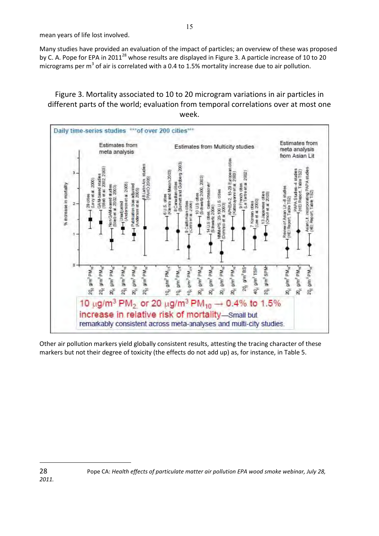mean years of life lost involved.

Many studies have provided an evaluation of the impact of particles; an overview of these was proposed by C. A. Pope for EPA in 2011<sup>28</sup> whose results are displayed in Figure 3. A particle increase of 10 to 20 micrograms per  $m^3$  of air is correlated with a 0.4 to 1.5% mortality increase due to air pollution.

Figure 3. Mortality associated to 10 to 20 microgram variations in air particles in different parts of the world; evaluation from temporal correlations over at most one week.



Other air pollution markers yield globally consistent results, attesting the tracing character of these markers but not their degree of toxicity (the effects do not add up) as, for instance, in Table 5.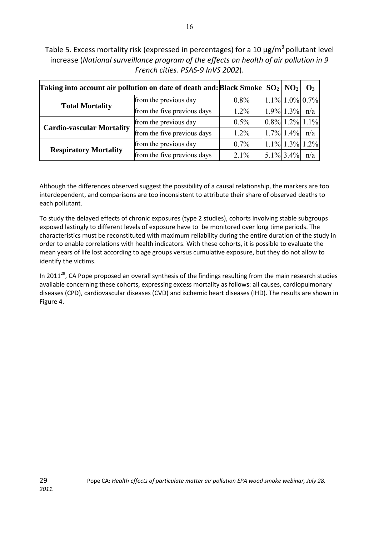Table 5. Excess mortality risk (expressed in percentages) for a 10  $\mu$ g/m<sup>3</sup> pollutant level increase (*National surveillance program of the effects on health of air pollution in 9 French cities*. *PSAS-9 InVS 2002*).

16

| Taking into account air pollution on date of death and: Black Smoke $ SO_2 $ $ NO_2 $ |                             |         |                       | $\mathbf{O}_3$ |
|---------------------------------------------------------------------------------------|-----------------------------|---------|-----------------------|----------------|
|                                                                                       | from the previous day       | $0.8\%$ | $ 1.1\% 1.0\% 0.7\% $ |                |
| <b>Total Mortality</b>                                                                | from the five previous days | $1.2\%$ | $ 1.9\% 1.3\% $       | n/a            |
|                                                                                       | from the previous day       | $0.5\%$ | $0.8\%$ 1.2% 1.1%     |                |
| <b>Cardio-vascular Mortality</b>                                                      | from the five previous days | $1.2\%$ | $1.7\%$ 1.4%          | n/a            |
|                                                                                       | from the previous day       | $0.7\%$ | $1.1\%$ 1.3% 1.2%     |                |
| <b>Respiratory Mortality</b>                                                          | from the five previous days | $2.1\%$ | $5.1\%$ 3.4%          | n/a            |

Although the differences observed suggest the possibility of a causal relationship, the markers are too interdependent, and comparisons are too inconsistent to attribute their share of observed deaths to each pollutant.

To study the delayed effects of chronic exposures (type 2 studies), cohorts involving stable subgroups exposed lastingly to different levels of exposure have to be monitored over long time periods. The characteristics must be reconstituted with maximum reliability during the entire duration of the study in order to enable correlations with health indicators. With these cohorts, it is possible to evaluate the mean years of life lost according to age groups versus cumulative exposure, but they do not allow to identify the victims.

In 2011<sup>29</sup>, CA Pope proposed an overall synthesis of the findings resulting from the main research studies available concerning these cohorts, expressing excess mortality as follows: all causes, cardiopulmonary diseases (CPD), cardiovascular diseases (CVD) and ischemic heart diseases (IHD). The results are shown in Figure 4.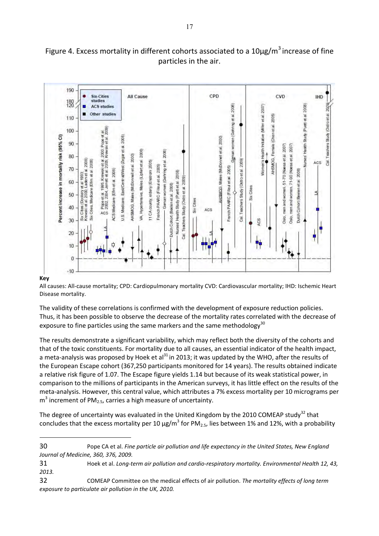## Figure 4. Excess mortality in different cohorts associated to a  $10\mu g/m^3$  increase of fine particles in the air.



#### All causes: All-cause mortality; CPD: Cardiopulmonary mortality CVD: Cardiovascular mortality; IHD: Ischemic Heart Disease mortality.

The validity of these correlations is confirmed with the development of exposure reduction policies. Thus, it has been possible to observe the decrease of the mortality rates correlated with the decrease of exposure to fine particles using the same markers and the same methodology<sup>30</sup>

The results demonstrate a significant variability, which may reflect both the diversity of the cohorts and that of the toxic constituents. For mortality due to all causes, an essential indicator of the health impact, a meta-analysis was proposed by Hoek et al $^{31}$  in 2013; it was updated by the WHO, after the results of the European Escape cohort (367,250 participants monitored for 14 years). The results obtained indicate a relative risk figure of 1.07. The Escape figure yields 1.14 but because of its weak statistical power, in comparison to the millions of participants in the American surveys, it has little effect on the results of the meta-analysis. However, this central value, which attributes a 7% excess mortality per 10 micrograms per  $m<sup>3</sup>$  increment of PM<sub>2.5</sub>, carries a high measure of uncertainty.

The degree of uncertainty was evaluated in the United Kingdom by the 2010 COMEAP study<sup>32</sup> that concludes that the excess mortality per 10  $\mu$ g/m<sup>3</sup> for PM<sub>2.5</sub>, lies between 1% and 12%, with a probability

<sup>30</sup> Pope CA et al. *Fine particle air pollution and life expectancy in the United States, New England Journal of Medicine, 360, 376, 2009.* 

<sup>31</sup> Hoek et al. *Long-term air pollution and cardio-respiratory mortality. Environmental Health 12, 43, 2013.* 

<sup>32</sup> COMEAP Committee on the medical effects of air pollution. *The mortality effects of long term exposure to particulate air pollution in the UK, 2010.*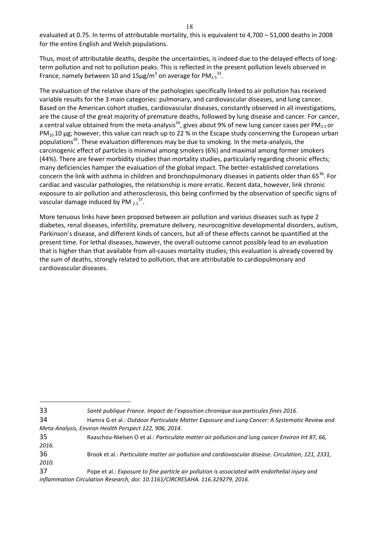evaluated at 0.75. In terms of attributable mortality, this is equivalent to 4,700 – 51,000 deaths in 2008 for the entire English and Welsh populations.

Thus, most of attributable deaths, despite the uncertainties, is indeed due to the delayed effects of longterm pollution and not to pollution peaks. This is reflected in the present pollution levels observed in France, namely between 10 and 15 $\mu$ g/m<sup>3</sup> on average for PM<sub>2.5</sub><sup>33</sup>.

The evaluation of the relative share of the pathologies specifically linked to air pollution has received variable results for the 3 main categories: pulmonary, and cardiovascular diseases, and lung cancer. Based on the American cohort studies, cardiovascular diseases, constantly observed in all investigations, are the cause of the great majority of premature deaths, followed by lung disease and cancer. For cancer, a central value obtained from the meta-analysis<sup>34</sup>, gives about 9% of new lung cancer cases per PM<sub>2.5</sub> or  $PM_{10}$  10 µg; however, this value can reach up to 22 % in the Escape study concerning the European urban populations<sup>35</sup>. These evaluation differences may be due to smoking. In the meta-analysis, the carcinogenic effect of particles is minimal among smokers (6%) and maximal among former smokers (44%). There are fewer morbidity studies than mortality studies, particularly regarding chronic effects; many deficiencies hamper the evaluation of the global impact. The better-established correlations concern the link with asthma in children and bronchopulmonary diseases in patients older than 65<sup>36</sup>. For cardiac and vascular pathologies, the relationship is more erratic. Recent data, however, link chronic exposure to air pollution and atherosclerosis, this being confirmed by the observation of specific signs of vascular damage induced by PM  $_{2.5}^{37}$ .

More tenuous links have been proposed between air pollution and various diseases such as type 2 diabetes, renal diseases, infertility, premature delivery, neurocognitive developmental disorders, autism, Parkinson's disease, and different kinds of cancers, but all of these effects cannot be quantified at the present time. For lethal diseases, however, the overall outcome cannot possibly lead to an evaluation that is higher than that available from all-causes mortality studies; this evaluation is already covered by the sum of deaths, strongly related to pollution, that are attributable to cardiopulmonary and cardiovascular diseases.

<sup>33</sup> *Santé publique France. Impact de l'exposition chronique aux particules fines 2016*.

<sup>34</sup> Hamra G et al.: *Outdoor Particulate Matter Exposure and Lung Cancer: A Systematic Review and Meta-Analysis, Environ Health Perspect 122, 906, 2014.*

<sup>35</sup> Raaschou-Nielsen O et al.: *Particulate matter air pollution and lung cancer Environ Int 87, 66, 2016.*

<sup>36</sup> Brook et al.: *Particulate matter air pollution and cardiovascular disease. Circulation, 121, 2331,* 

*<sup>2010.</sup>*

<sup>37</sup> Pope et al.: *Exposure to fine particle air pollution is associated with endothelial injury and*  inflammation Circulation Research, doi: 10.1161/CIRCRESAHA. 116.329279, 2016.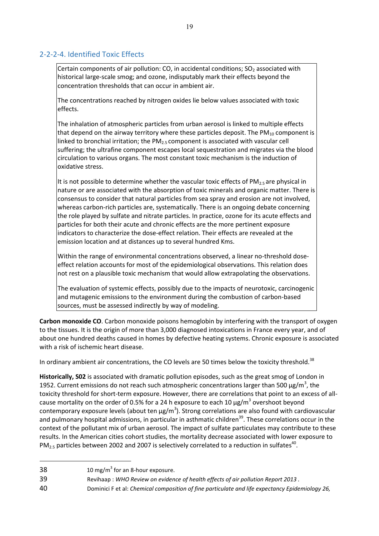## 2-2-2-4. Identified Toxic Effects

Certain components of air pollution: CO, in accidental conditions;  $SO<sub>2</sub>$  associated with historical large-scale smog; and ozone, indisputably mark their effects beyond the concentration thresholds that can occur in ambient air.

The concentrations reached by nitrogen oxides lie below values associated with toxic effects.

The inhalation of atmospheric particles from urban aerosol is linked to multiple effects that depend on the airway territory where these particles deposit. The  $PM_{10}$  component is linked to bronchial irritation; the PM<sub>2.5</sub> component is associated with vascular cell suffering; the ultrafine component escapes local sequestration and migrates via the blood circulation to various organs. The most constant toxic mechanism is the induction of oxidative stress.

It is not possible to determine whether the vascular toxic effects of  $PM_{2.5}$  are physical in nature or are associated with the absorption of toxic minerals and organic matter. There is consensus to consider that natural particles from sea spray and erosion are not involved, whereas carbon-rich particles are, systematically. There is an ongoing debate concerning the role played by sulfate and nitrate particles. In practice, ozone for its acute effects and particles for both their acute and chronic effects are the more pertinent exposure indicators to characterize the dose-effect relation. Their effects are revealed at the emission location and at distances up to several hundred Kms.

Within the range of environmental concentrations observed, a linear no-threshold doseeffect relation accounts for most of the epidemiological observations. This relation does not rest on a plausible toxic mechanism that would allow extrapolating the observations.

The evaluation of systemic effects, possibly due to the impacts of neurotoxic, carcinogenic and mutagenic emissions to the environment during the combustion of carbon-based sources, must be assessed indirectly by way of modeling.

**Carbon monoxide CO**. Carbon monoxide poisons hemoglobin by interfering with the transport of oxygen to the tissues. It is the origin of more than 3,000 diagnosed intoxications in France every year, and of about one hundred deaths caused in homes by defective heating systems. Chronic exposure is associated with a risk of ischemic heart disease.

In ordinary ambient air concentrations, the CO levels are 50 times below the toxicity threshold.<sup>38</sup>

**Historically, S02** is associated with dramatic pollution episodes, such as the great smog of London in 1952. Current emissions do not reach such atmospheric concentrations larger than 500  $\mu$ g/m<sup>3</sup>, the toxicity threshold for short-term exposure. However, there are correlations that point to an excess of allcause mortality on the order of 0.5% for a 24 h exposure to each 10  $\mu$ g/m<sup>3</sup> overshoot beyond contemporary exposure levels (about ten  $\mu$ g/m<sup>3</sup>). Strong correlations are also found with cardiovascular and pulmonary hospital admissions, in particular in asthmatic children<sup>39</sup>. These correlations occur in the context of the pollutant mix of urban aerosol. The impact of sulfate particulates may contribute to these results. In the American cities cohort studies, the mortality decrease associated with lower exposure to PM<sub>2.5</sub> particles between 2002 and 2007 is selectively correlated to a reduction in sulfates<sup>40</sup>.

<sup>38</sup>  $10 \text{ mg/m}^3$  for an 8-hour exposure.

<sup>39</sup> Revihaap : *WHO Review on evidence of health effects of air pollution Report 2013 .*

<sup>40</sup> Dominici F et al: *Chemical composition of fine particulate and life expectancy Epidemiology 26,*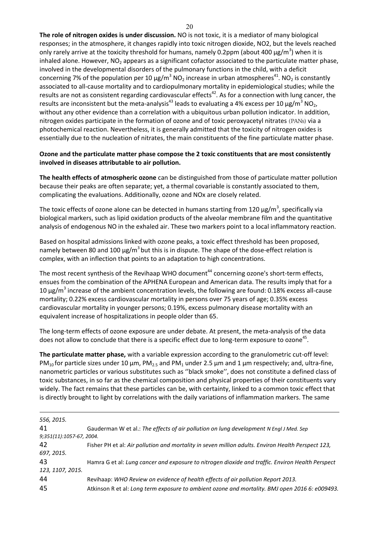**The role of nitrogen oxides is under discussion.** NO is not toxic, it is a mediator of many biological responses; in the atmosphere, it changes rapidly into toxic nitrogen dioxide, NO2, but the levels reached only rarely arrive at the toxicity threshold for humans, namely 0.2ppm (about 400  $\mu$ g/m<sup>3</sup>) when it is inhaled alone. However,  $NO<sub>2</sub>$  appears as a significant cofactor associated to the particulate matter phase, involved in the developmental disorders of the pulmonary functions in the child, with a deficit concerning 7% of the population per 10  $\mu$ g/m<sup>3</sup> NO<sub>2</sub> increase in urban atmospheres<sup>41</sup>. NO<sub>2</sub> is constantly associated to all-cause mortality and to cardiopulmonary mortality in epidemiological studies; while the results are not as consistent regarding cardiovascular effects<sup>42</sup>. As for a connection with lung cancer, the results are inconsistent but the meta-analysis<sup>43</sup> leads to evaluating a 4% excess per 10  $\mu$ g/m<sup>3</sup> NO<sub>2</sub>, without any other evidence than a correlation with a ubiquitous urban pollution indicator. In addition, nitrogen oxides participate in the formation of ozone and of toxic peroxyacetyl nitrates (PANs) via a photochemical reaction. Nevertheless, it is generally admitted that the toxicity of nitrogen oxides is essentially due to the nucleation of nitrates, the main constituents of the fine particulate matter phase.

#### **Ozone and the particulate matter phase compose the 2 toxic constituents that are most consistently involved in diseases attributable to air pollution.**

**The health effects of atmospheric ozone** can be distinguished from those of particulate matter pollution because their peaks are often separate; yet, a thermal covariable is constantly associated to them, complicating the evaluations. Additionally, ozone and NOx are closely related.

The toxic effects of ozone alone can be detected in humans starting from 120  $\mu$ g/m<sup>3</sup>, specifically via biological markers, such as lipid oxidation products of the alveolar membrane film and the quantitative analysis of endogenous NO in the exhaled air. These two markers point to a local inflammatory reaction.

Based on hospital admissions linked with ozone peaks, a toxic effect threshold has been proposed, namely between 80 and 100  $\mu$ g/m<sup>3</sup> but this is in dispute. The shape of the dose-effect relation is complex, with an inflection that points to an adaptation to high concentrations.

The most recent synthesis of the Revihaap WHO document<sup>44</sup> concerning ozone's short-term effects, ensues from the combination of the APHENA European and American data. The results imply that for a 10  $\mu$ g/m<sup>3</sup> increase of the ambient concentration levels, the following are found: 0.18% excess all-cause mortality; 0.22% excess cardiovascular mortality in persons over 75 years of age; 0.35% excess cardiovascular mortality in younger persons; 0.19%, excess pulmonary disease mortality with an equivalent increase of hospitalizations in people older than 65.

The long-term effects of ozone exposure are under debate. At present, the meta-analysis of the data does not allow to conclude that there is a specific effect due to long-term exposure to ozone<sup>45</sup>.

**The particulate matter phase,** with a variable expression according to the granulometric cut-off level: PM<sub>10</sub> for particle sizes under 10  $\mu$ m, PM<sub>2.5</sub> and PM<sub>1</sub> under 2.5  $\mu$ m and 1  $\mu$ m respectively; and, ultra-fine, nanometric particles or various substitutes such as ''black smoke'', does not constitute a defined class of toxic substances, in so far as the chemical composition and physical properties of their constituents vary widely. The fact remains that these particles can be, with certainty, linked to a common toxic effect that is directly brought to light by correlations with the daily variations of inflammation markers. The same

| 556, 2015.               |                                                                                                    |
|--------------------------|----------------------------------------------------------------------------------------------------|
| 41                       | Gauderman W et al.: The effects of air pollution on lung development N Engl J Med. Sep             |
| 9;351(11):1057-67, 2004. |                                                                                                    |
| 42                       | Fisher PH et al: Air pollution and mortality in seven million adults. Environ Health Perspect 123, |
| 697, 2015.               |                                                                                                    |
| 43                       | Hamra G et al: Lung cancer and exposure to nitrogen dioxide and traffic. Environ Health Perspect   |
| 123, 1107, 2015.         |                                                                                                    |
| 44                       | Revihaap: WHO Review on evidence of health effects of air pollution Report 2013.                   |
| 45                       | Atkinson R et al: Long term exposure to ambient ozone and mortality. BMJ open 2016 6: e009493.     |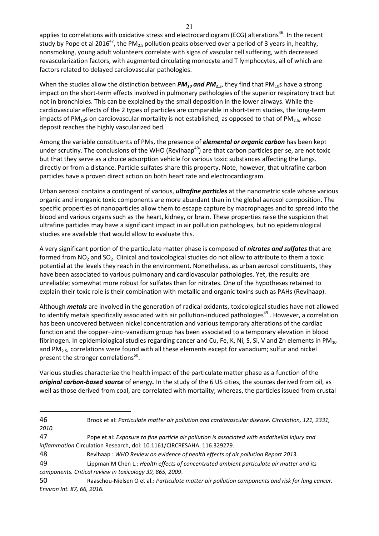applies to correlations with oxidative stress and electrocardiogram (ECG) alterations<sup>46</sup>. In the recent study by Pope et al 2016<sup>47</sup>, the PM<sub>2.5</sub> pollution peaks observed over a period of 3 years in, healthy, nonsmoking, young adult volunteers correlate with signs of vascular cell suffering, with decreased revascularization factors, with augmented circulating monocyte and T lymphocytes, all of which are factors related to delayed cardiovascular pathologies.

When the studies allow the distinction between  $PM_{10}$  and  $PM_{2.5}$ , they find that  $PM_{10}$ s have a strong impact on the short-term effects involved in pulmonary pathologies of the superior respiratory tract but not in bronchioles. This can be explained by the small deposition in the lower airways. While the cardiovascular effects of the 2 types of particles are comparable in short-term studies, the long-term impacts of PM<sub>10</sub>s on cardiovascular mortality is not established, as opposed to that of PM<sub>2.5</sub>, whose deposit reaches the highly vascularized bed.

Among the variable constituents of PMs, the presence of *elemental or organic carbon* has been kept under scrutiny. The conclusions of the WHO (Revihaap<sup>48</sup>) are that carbon particles per se, are not toxic but that they serve as a choice adsorption vehicle for various toxic substances affecting the lungs. directly or from a distance. Particle sulfates share this property. Note, however, that ultrafine carbon particles have a proven direct action on both heart rate and electrocardiogram.

Urban aerosol contains a contingent of various, *ultrafine particles* at the nanometric scale whose various organic and inorganic toxic components are more abundant than in the global aerosol composition. The specific properties of nanoparticles allow them to escape capture by macrophages and to spread into the blood and various organs such as the heart, kidney, or brain. These properties raise the suspicion that ultrafine particles may have a significant impact in air pollution pathologies, but no epidemiological studies are available that would allow to evaluate this.

A very significant portion of the particulate matter phase is composed of *nitrates and sulfates* that are formed from  $NO<sub>2</sub>$  and  $SO<sub>2</sub>$ . Clinical and toxicological studies do not allow to attribute to them a toxic potential at the levels they reach in the environment. Nonetheless, as urban aerosol constituents, they have been associated to various pulmonary and cardiovascular pathologies. Yet, the results are unreliable; somewhat more robust for sulfates than for nitrates. One of the hypotheses retained to explain their toxic role is their combination with metallic and organic toxins such as PAHs (Revihaap).

Although *metals* are involved in the generation of radical oxidants, toxicological studies have not allowed to identify metals specifically associated with air pollution-induced pathologies<sup>49</sup>. However, a correlation has been uncovered between nickel concentration and various temporary alterations of the cardiac function and the copper–zinc–vanadium group has been associated to a temporary elevation in blood fibrinogen. In epidemiological studies regarding cancer and Cu, Fe, K, Ni, S, Si, V and Zn elements in PM<sub>10</sub> and  $PM_{2.5}$ , correlations were found with all these elements except for vanadium; sulfur and nickel present the stronger correlations<sup>50</sup>.

Various studies characterize the health impact of the particulate matter phase as a function of the *original carbon-based source* of energy*.* In the study of the 6 US cities, the sources derived from oil, as well as those derived from coal, are correlated with mortality; whereas, the particles issued from crustal

 $\overline{a}$ 

48 Revihaap : *WHO Review on evidence of health effects of air pollution Report 2013.*

50 Raaschou-Nielsen O et al.: *Particulate matter air pollution components and risk for lung cancer. Environ Int. 87, 66, 2016.* 

<sup>46</sup> Brook et al: *Particulate matter air pollution and cardiovascular disease. Circulation, 121, 2331,* 

*<sup>2010.</sup>*

<sup>47</sup> Pope et al: *Exposure to fine particle air pollution is associated with endothelial injury and inflammation* Circulation Research, doi: 10.1161/CIRCRESAHA. 116.329279.

<sup>49</sup> Lippman M Chen L.: *Health effects of concentrated ambient particulate air matter and its components. Critical review in toxicology 39, 865, 2009*.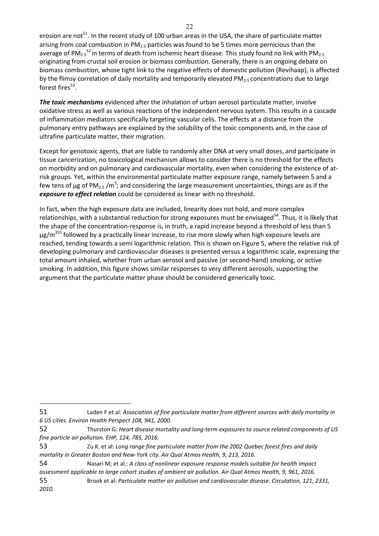erosion are not<sup>51</sup>. In the recent study of 100 urban areas in the USA, the share of particulate matter arising from coal combustion in  $PM<sub>2.5</sub>$  particles was found to be 5 times more pernicious than the average of PM<sub>2.5</sub><sup>52</sup> in terms of death from ischemic heart disease. This study found no link with PM<sub>2.5</sub> originating from crustal soil erosion or biomass combustion. Generally, there is an ongoing debate on biomass combustion, whose tight link to the negative effects of domestic pollution (Revihaap), is affected by the flimsy correlation of daily mortality and temporarily elevated  $PM_{2.5}$  concentrations due to large forest fires $^{53}$ .

*The toxic mechanisms* evidenced after the inhalation of urban aerosol particulate matter, involve oxidative stress as well as various reactions of the independent nervous system. This results in a cascade of inflammation mediators specifically targeting vascular cells. The effects at a distance from the pulmonary entry pathways are explained by the solubility of the toxic components and, in the case of ultrafine particulate matter, their migration.

Except for genotoxic agents, that are liable to randomly alter DNA at very small doses, and participate in tissue cancerization, no toxicological mechanism allows to consider there is no threshold for the effects on morbidity and on pulmonary and cardiovascular mortality, even when considering the existence of atrisk groups. Yet, within the environmental particulate matter exposure range, namely between 5 and a few tens of µg of PM<sub>2.5</sub> /m<sup>3</sup>; and considering the large measurement uncertainties, things are as if the *exposure to effect relation* could be considered as linear with no threshold.

In fact, when the high exposure data are included, linearity does not hold, and more complex relationships, with a substantial reduction for strong exposures must be envisaged<sup>54</sup>. Thus, it is likely that the shape of the concentration-response is, in truth, a rapid increase beyond a threshold of less than 5  $\mu$ g/m<sup>355</sup> followed by a practically linear increase, to rise more slowly when high exposure levels are reached, tending towards a semi logarithmic relation. This is shown on Figure 5, where the relative risk of developing pulmonary and cardiovascular diseases is presented versus a logarithmic scale, expressing the total amount inhaled, whether from urban aerosol and passive (or second-hand) smoking, or active smoking. In addition, this figure shows similar responses to very different aerosols, supporting the argument that the particulate matter phase should be considered generically toxic.

<sup>51</sup> Laden F et al: *Association of fine particulate matter from different sources with daily mortality in 6 US cities. Environ Health Perspect 108, 941, 2000.*

<sup>52</sup> Thurston G: *Heart disease mortality and long-term exposures to source related components of US fine particle air pollution. EHP, 124, 785, 2016.*

<sup>53</sup> Zu K. et al: *Long range fine particulate matter from the 2002 Quebec forest fires and daily mortality in Greater Boston and New-York city. Air Qual Atmos Health, 9, 213, 2016.* 

<sup>54</sup> Nasari M; et al.: *A class of nonlinear exposure response models suitable for health impact assessment applicable to large cohort studies of ambient air pollution. Air Qual Atmos Health, 9, 961, 2016.*

<sup>55</sup> Brook et al: *Particulate matter air pollution and cardiovascular disease. Circulation, 121, 2331, 2010.*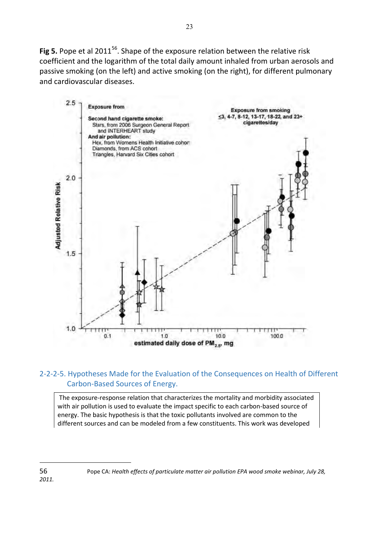Fig 5. Pope et al 2011<sup>56</sup>. Shape of the exposure relation between the relative risk coefficient and the logarithm of the total daily amount inhaled from urban aerosols and passive smoking (on the left) and active smoking (on the right), for different pulmonary and cardiovascular diseases.



## 2-2-2-5. Hypotheses Made for the Evaluation of the Consequences on Health of Different Carbon-Based Sources of Energy.

 The exposure-response relation that characterizes the mortality and morbidity associated with air pollution is used to evaluate the impact specific to each carbon-based source of energy. The basic hypothesis is that the toxic pollutants involved are common to the different sources and can be modeled from a few constituents. This work was developed

<sup>56</sup> Pope CA: *Health effects of particulate matter air pollution EPA wood smoke webinar, July 28,* 

*<sup>2011.</sup>*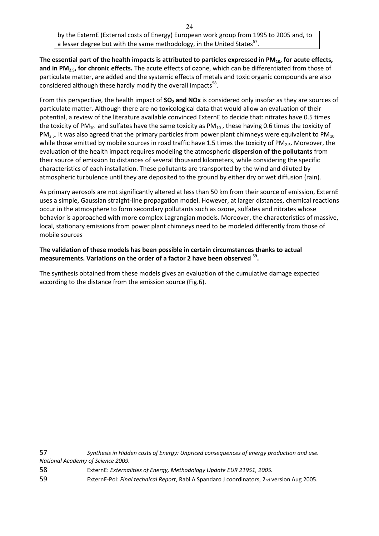**The essential part of the health impacts is attributed to particles expressed in PM10, for acute effects, and in PM2.5, for chronic effects.** The acute effects of ozone, which can be differentiated from those of particulate matter, are added and the systemic effects of metals and toxic organic compounds are also considered although these hardly modify the overall impacts ${}^{58}$ .

From this perspective, the health impact of **SO2 and NOx** is considered only insofar as they are sources of particulate matter. Although there are no toxicological data that would allow an evaluation of their potential, a review of the literature available convinced ExternE to decide that: nitrates have 0.5 times the toxicity of PM<sub>10</sub> and sulfates have the same toxicity as PM<sub>10</sub>, these having 0.6 times the toxicity of  $PM<sub>2.5</sub>$ . It was also agreed that the primary particles from power plant chimneys were equivalent to PM<sub>10</sub> while those emitted by mobile sources in road traffic have 1.5 times the toxicity of PM<sub>2.5</sub>. Moreover, the evaluation of the health impact requires modeling the atmospheric **dispersion of the pollutants** from their source of emission to distances of several thousand kilometers, while considering the specific characteristics of each installation. These pollutants are transported by the wind and diluted by atmospheric turbulence until they are deposited to the ground by either dry or wet diffusion (rain).

As primary aerosols are not significantly altered at less than 50 km from their source of emission, ExternE uses a simple, Gaussian straight-line propagation model. However, at larger distances, chemical reactions occur in the atmosphere to form secondary pollutants such as ozone, sulfates and nitrates whose behavior is approached with more complex Lagrangian models. Moreover, the characteristics of massive, local, stationary emissions from power plant chimneys need to be modeled differently from those of mobile sources

#### **The validation of these models has been possible in certain circumstances thanks to actual measurements. Variations on the order of a factor 2 have been observed <sup>59</sup> .**

The synthesis obtained from these models gives an evaluation of the cumulative damage expected according to the distance from the emission source (Fig.6).

57 *Synthesis in Hidden costs of Energy: Unpriced consequences of energy production and use. National Academy of Science 2009.*

58 ExternE: *Externalities of Energy, Methodology Update EUR 21951, 2005.*

 $\overline{a}$ 

59 ExternE-Pol: *Final technical Report*, Rabl A Spandaro J coordinators, 2nd version Aug 2005.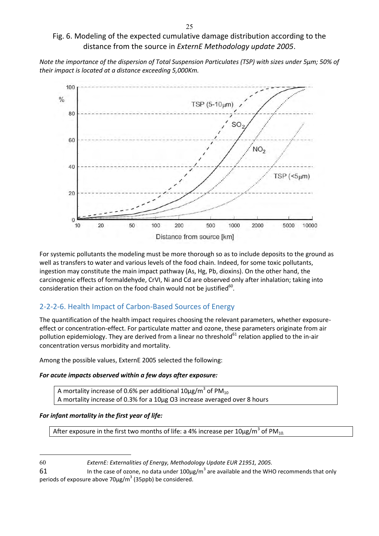## Fig. 6. Modeling of the expected cumulative damage distribution according to the distance from the source in *ExternE Methodology update 2005*.

*Note the importance of the dispersion of Total Suspension Particulates (TSP) with sizes under 5µm; 50% of their impact is located at a distance exceeding 5,000Km.* 



For systemic pollutants the modeling must be more thorough so as to include deposits to the ground as well as transfers to water and various levels of the food chain. Indeed, for some toxic pollutants, ingestion may constitute the main impact pathway (As, Hg, Pb, dioxins). On the other hand, the carcinogenic effects of formaldehyde, CrVI, Ni and Cd are observed only after inhalation; taking into consideration their action on the food chain would not be justified $^{60}$ .

## 2-2-2-6. Health Impact of Carbon-Based Sources of Energy

The quantification of the health impact requires choosing the relevant parameters, whether exposureeffect or concentration-effect. For particulate matter and ozone, these parameters originate from air pollution epidemiology. They are derived from a linear no threshold<sup>61</sup> relation applied to the in-air concentration versus morbidity and mortality.

Among the possible values, ExternE 2005 selected the following:

#### *For acute impacts observed within a few days after exposure:*

A mortality increase of 0.6% per additional 10 $\mu$ g/m $^3$  of PM $_{10}$ A mortality increase of 0.3% for a 10µg O3 increase averaged over 8 hours

### *For infant mortality in the first year of life:*

 $\overline{a}$ 

After exposure in the first two months of life: a 4% increase per 10 $\mu$ g/m $^3$  of PM $_{10}$ 

60 *ExternE: Externalities of Energy, Methodology Update EUR 21951, 2005.*

61 **In the case of ozone, no data under 100** $\mu$ g/m<sup>3</sup> are available and the WHO recommends that only periods of exposure above 70 $\mu$ g/m<sup>3</sup> (35ppb) be considered.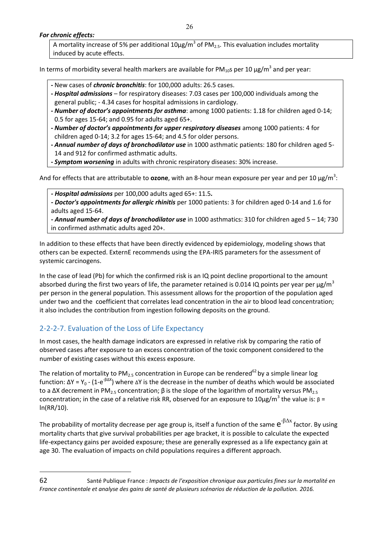26

#### *For chronic effects:*

A mortality increase of 5% per additional 10µg/m<sup>3</sup> of PM<sub>2.5</sub>. This evaluation includes mortality induced by acute effects.

In terms of morbidity several health markers are available for PM<sub>10</sub>s per 10  $\mu$ g/m<sup>3</sup> and per year:

- **-** New cases of *chronic bronchitis*: for 100,000 adults: 26.5 cases.
- **-** *Hospital admissions* for respiratory diseases: 7.03 cases per 100,000 individuals among the general public; - 4.34 cases for hospital admissions in cardiology.
- **-** *Number of doctor's appointments for asthma*: among 1000 patients: 1.18 for children aged 0-14; 0.5 for ages 15-64; and 0.95 for adults aged 65+.
- **-** *Number of doctor's appointments for upper respiratory diseases* among 1000 patients: 4 for children aged 0-14; 3.2 for ages 15-64; and 4.5 for older persons.
- **-** *Annual number of days of bronchodilator use* in 1000 asthmatic patients: 180 for children aged 5- 14 and 912 for confirmed asthmatic adults.
- **-** *Symptom worsening* in adults with chronic respiratory diseases: 30% increase.

And for effects that are attributable to **ozone**, with an 8-hour mean exposure per year and per 10 μg/m<sup>3</sup>:

*- Hospital admissions* per 100,000 adults aged 65+: 11.5*.* 

*- Doctor's appointments for allergic rhinitis* per 1000 patients: 3 for children aged 0-14 and 1.6 for adults aged 15-64.

*- Annual number of days of bronchodilator use* in 1000 asthmatics: 310 for children aged 5 – 14; 730 in confirmed asthmatic adults aged 20+.

In addition to these effects that have been directly evidenced by epidemiology, modeling shows that others can be expected. ExternE recommends using the EPA-IRIS parameters for the assessment of systemic carcinogens.

In the case of lead (Pb) for which the confirmed risk is an IQ point decline proportional to the amount absorbed during the first two years of life, the parameter retained is 0.014 IQ points per year per  $\mu$ g/m<sup>3</sup> per person in the general population. This assessment allows for the proportion of the population aged under two and the coefficient that correlates lead concentration in the air to blood lead concentration; it also includes the contribution from ingestion following deposits on the ground.

## 2-2-2-7. Evaluation of the Loss of Life Expectancy

 $\overline{a}$ 

In most cases, the health damage indicators are expressed in relative risk by comparing the ratio of observed cases after exposure to an excess concentration of the toxic component considered to the number of existing cases without this excess exposure.

The relation of mortality to PM<sub>2.5</sub> concentration in Europe can be rendered<sup>62</sup> by a simple linear log function:  $\Delta Y = Y_0 - (1-e^{-\beta \Delta X})$  where  $\Delta Y$  is the decrease in the number of deaths which would be associated to a ΔX decrement in PM<sub>2.5</sub> concentration;  $\beta$  is the slope of the logarithm of mortality versus PM<sub>2.5</sub> concentration; in the case of a relative risk RR, observed for an exposure to 10μg/m<sup>3</sup> the value is: β = ln(RR/10).

The probability of mortality decrease per age group is, itself a function of the same  ${\rm e}^{^-\beta\Delta x}$  factor. By using mortality charts that give survival probabilities per age bracket, it is possible to calculate the expected life-expectancy gains per avoided exposure; these are generally expressed as a life expectancy gain at age 30. The evaluation of impacts on child populations requires a different approach.

<sup>62</sup> Santé Publique France : *Impacts de l'exposition chronique aux particules fines sur la mortalité en France continentale et analyse des gains de santé de plusieurs scénarios de réduction de la pollution. 2016.*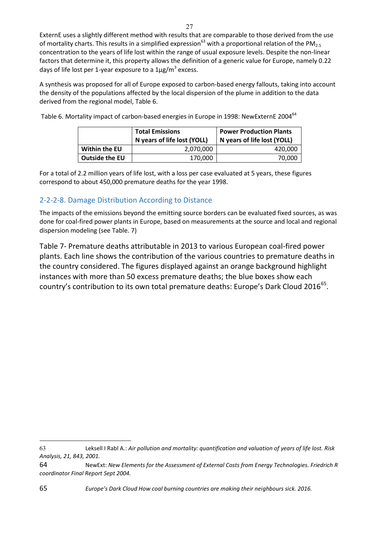ExternE uses a slightly different method with results that are comparable to those derived from the use of mortality charts. This results in a simplified expression<sup>63</sup> with a proportional relation of the PM<sub>2.5</sub> concentration to the years of life lost within the range of usual exposure levels. Despite the non-linear factors that determine it, this property allows the definition of a generic value for Europe, namely 0.22 days of life lost per 1-year exposure to a  $1 \mu$ g/m<sup>3</sup> excess.

A synthesis was proposed for all of Europe exposed to carbon-based energy fallouts, taking into account the density of the populations affected by the local dispersion of the plume in addition to the data derived from the regional model, Table 6.

Table 6. Mortality impact of carbon-based energies in Europe in 1998: NewExternE 2004<sup>64</sup>

|                | <b>Total Emissions</b><br>N years of life lost (YOLL) | <b>Power Production Plants</b><br>N years of life lost (YOLL) |  |  |  |
|----------------|-------------------------------------------------------|---------------------------------------------------------------|--|--|--|
| Within the EU  | 2.070.000                                             | 420.000                                                       |  |  |  |
| Outside the EU | 170,000                                               | 70.000                                                        |  |  |  |

For a total of 2.2 million years of life lost, with a loss per case evaluated at 5 years, these figures correspond to about 450,000 premature deaths for the year 1998.

## 2-2-2-8. Damage Distribution According to Distance

The impacts of the emissions beyond the emitting source borders can be evaluated fixed sources, as was done for coal-fired power plants in Europe, based on measurements at the source and local and regional dispersion modeling (see Table. 7)

Table 7- Premature deaths attributable in 2013 to various European coal-fired power plants. Each line shows the contribution of the various countries to premature deaths in the country considered. The figures displayed against an orange background highlight instances with more than 50 excess premature deaths; the blue boxes show each country's contribution to its own total premature deaths: Europe's Dark Cloud 2016<sup>65</sup>.

63 Leksell I Rabl A.: *Air pollution and mortality: quantification and valuation of years of life lost. Risk Analysis, 21, 843, 2001.*

<sup>64</sup> NewExt: *New Elements for the Assessment of External Costs from Energy Technologies. Friedrich R coordinator Final Report Sept 2004.*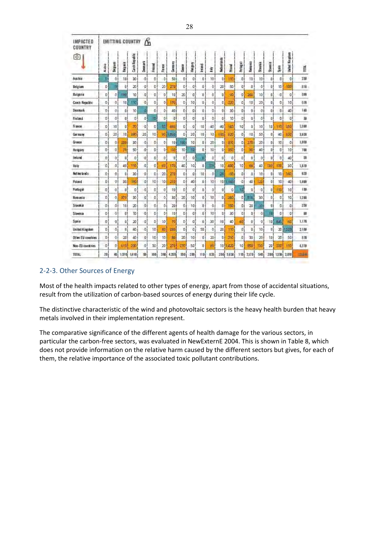| IMPACTED<br>COUNTRY | ß<br><b>EMITTING COUNTRY</b> |        |                |               |                     |                |        |        |                |                 |                |                 |                 |               |                |                |                |                |                |                    |                 |
|---------------------|------------------------------|--------|----------------|---------------|---------------------|----------------|--------|--------|----------------|-----------------|----------------|-----------------|-----------------|---------------|----------------|----------------|----------------|----------------|----------------|--------------------|-----------------|
| ô)                  | Academa                      | Begium | Balgaria       | Card Republic | Demark              | Friand         | France | Germay | Coast of       | Negati          | treand         | ñ               | Netherlands     | <b>Poland</b> | Per bag at     | Romania        | Siyakia        | Styesis        | 易              | Kingdom<br>United: | N <sub>11</sub> |
| Austria             | o                            | ö      | 10             | 30            | ó                   | $\sigma$       | ö      | 50     | $\mathbf{0}$   | oi              | $\mathbf{0}$   | 10              | ΰł              | i 10          | 0              | 10             | 10             | $\theta$       | $\mathcal{O}$  | $\overline{0}$     | 238             |
| Belgium             | 0                            |        | $\overline{0}$ | 20            | $\mathfrak{g}$      | o              | 20     | 270    | $\mathbf{0}$   | $\mathfrak{a}$  | Ú.             | ö.              | 20              | 50            | $\alpha$       | D              | ٥              | O.             | 10             | 100                | 518             |
| Bulgaria            | o                            | ٥      | 190            | 10            | ø                   | $\mathbf{0}$   | ø.     | TO     | 20             | O.              | o              | ò               | D               | 90            | $\overline{0}$ | 260            | 10             | $\theta$       | $\Omega$       | $\overline{0}$     | 強               |
| Czech Republic      | o                            | b.     | 10             | 10            | o                   | ö              | ø      | 170    | D              | 10              | o              | ö               | O)              | 220           | o              | 10             | 20             | ū              | D.             | 10                 | 奇斯              |
| Denmark             | D.                           | Ø1     | O.             | 10            | a                   | ۰              | 0      | 40     | O.             | σı              | $\mathbf{0}$   | o.              | 01              | 30            | O)             | O              | Ø.             | 01             | D              | 40                 | 1á)             |
| Finland             | O.                           | 6      | $\mathfrak{g}$ | o             | o                   | 10             | O.     | D      | û              | O.              | D.             | b.              | ö               | 10            | o              | 0              | ó              | $\mathbf{0}$   | o              | $\Omega$           | m               |
| France              | 0                            | 10     | O.             | 70            | $\alpha$            | $\alpha$       | 韧      | 490    | o              | O.              | 10             | 40              | 40              | 160           | 10             | o              | 10             | 10             | 110            | 150                | 1399            |
| Germany             | o                            | 20     | 10             | 390           | 20                  | 10             | 90     | DSD    | O              | 20              | 10             | 10              | 130             | 620           | o              | TO             | 50             | O.             | 40             | 500                | 3.839           |
| Greece              | $\mathbb{O}$                 | ö      | 200            | 30            | O)                  | $\overline{O}$ | ō      | 10     | 1601           | 101             | 0 <sub>1</sub> | 20              | 01              | 310           | O.             | 270            | 20             | D1             | 10             | ö                  | 1,050           |
| Hungary             | D                            | O,     | 70             | 50            | Oi                  | οi             | o      | 60     | 10             | 10              | 0 <sub>1</sub> | 10              | 0i              | 350           | o              | 90             | 40             | D.             | 0 <sup>i</sup> | 10                 | 780             |
| ireland             | D                            | ò.     | $\overline{0}$ | ö             | 0                   | ö              | o.     | D      | ö              | O.              | ۵              | ö               | o.              | ö             | ō              | $\overline{0}$ | ö              | $\overline{0}$ | D              | 40                 | 当               |
| <b>This</b>         | ۵                            | ó      | 40             | 116           | ó                   | 0              | ĐŌ.    | 170    | 40             | 10 <sub>1</sub> | O.             | æ               | 10 <sub>1</sub> | 430           | 10             | 68             | 40             | 130            | 100            | 30                 | 1,619           |
| Netherbirds         | 0                            | ø.     | Ü.             | 30            | $\Omega$            | $\alpha$       | 20     | 270    | $\overline{0}$ | αi              | 10             | o               | 20              | 80            | G.             | Ū.             | 30             | õ              | 10             | 160                | 专题              |
| <b>Foland</b>       | ö                            | Ō.     | 30             | 180           | $\Omega$            | 10             | 10     | 210    | O.             | 40              | O.             | 10              | <b>10</b>       | 7.140         | a              | 40             | 120            | $\overline{0}$ | 10             | 40                 | 1.899           |
| <b>Fortugal</b>     | o                            | ö.     | ū.             | O             | ò                   | ö              | ø      | 10     | ö              | o               | D.             | ö.              | 0 <sup>1</sup>  | 0             | 13             | O              | $\ddot{\circ}$ | ō.             | 150            | 10                 | 139             |
| Romania             | Ď.                           | Ŏ.     | 370            | 30            | o                   | o              | ٥      | 30     | 20             | 10              | 0              | 10              | $\mathbf{0}$    | 260           | o              | 516            | 30             | 0              | D              | 10                 | 12回             |
| <b>Slovakia</b>     | $\alpha$                     | ó      | 18             | 20            | $\ddot{\mathbf{0}}$ | O.             | ö      | 20     | Ü.             | 101             | o              | ٥               | 01              | 150           | O.             | 20             | BN.            | $\mathbf{0}$   | $\Omega$       | $\Omega$           | 250             |
| Slovenia            | ö                            | ŏ.     | O.             | 10            | $\overline{0}$      | 0              | ö      | T0     | $\circ$        | O)              | Ő.             | 10 <sup>7</sup> | D.              | 30            | ia.            | O              | ö              | m              | D              | o                  | m               |
| Seain               | 0                            | Ø.     | O.             | 20            | O.                  | ٥              | 10     | 70     | O.             | o.              | 0              | 30              | 10              | 40            | 60             | $0^{\circ}$    | Ø.             | 10-            | 647            | 60                 | 1.170           |
| Unided Kingdom      | D.                           | ó      | O,             | 40            | ò,                  | 10             | 80     | 230    | $\mathbf{0}$   | G.              | 50             | ٥               | 20              | LYD.          | 0              | D.             | 10             | O,             | 20             | 50                 | 21.00           |
| Other EU countries  | 01                           | Ö.     | 20             | 40            | $\overline{0}$      | 10             | 10     | 80     | 20             | 10              | $\mathbf{0}$   | 20              | 0 <sub>1</sub>  | 210           | $\overline{0}$ | 30             | 20             | 101            | 20             | 50                 | 570             |
| Non-EU countries    | $\Omega$                     | ŏ.     | 510            | 30            | $\theta$            | 30             | 20     | 270    | 770            | 50              | o              | 莭               | 10!             | /400          | 10             | BS0            | 30             | 20             | XO             | 110                | 4,319           |
| TUTAL               | 28                           | 船      | 1.579          | MN            | Đ                   | 190            | 390    | 4,350  | 50             | 2回              | 119            | 828             | <b>290j</b>     | 5,830         | 110            | 2,178          | 549            | 200            | 1,538          | <b>2.870</b>       | 19440           |

#### <span id="page-27-0"></span>2-2-3. Other Sources of Energy

Most of the health impacts related to other types of energy, apart from those of accidental situations, result from the utilization of carbon-based sources of energy during their life cycle.

The distinctive characteristic of the wind and photovoltaic sectors is the heavy health burden that heavy metals involved in their implementation represent.

The comparative significance of the different agents of health damage for the various sectors, in particular the carbon-free sectors, was evaluated in NewExternE 2004. This is shown in Table 8, which does not provide information on the relative harm caused by the different sectors but gives, for each of them, the relative importance of the associated toxic pollutant contributions.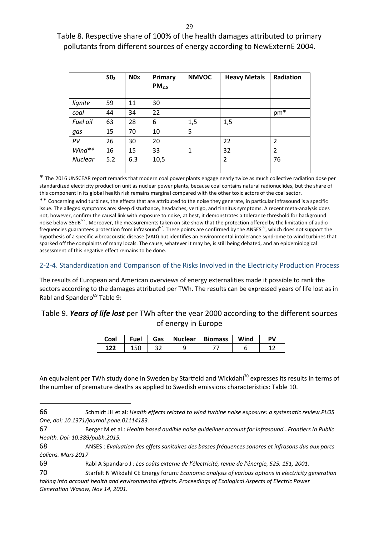Table 8. Respective share of 100% of the health damages attributed to primary pollutants from different sources of energy according to NewExternE 2004.

|                | SO <sub>2</sub> | N <sub>0</sub> x | Primary<br>PM <sub>2.5</sub> | <b>NMVOC</b> | <b>Heavy Metals</b> | Radiation       |
|----------------|-----------------|------------------|------------------------------|--------------|---------------------|-----------------|
| lignite        | 59              | 11               | 30                           |              |                     |                 |
| coal           | 44              | 34               | 22                           |              |                     | pm <sup>*</sup> |
| Fuel oil       | 63              | 28               | 6                            | 1,5          | 1,5                 |                 |
| gas            | 15              | 70               | 10                           | 5            |                     |                 |
| PV             | 26              | 30               | 20                           |              | 22                  | 2               |
| Wind**         | 16              | 15               | 33                           | 1            | 32                  | 2               |
| <b>Nuclear</b> | 5.2             | 6.3              | 10,5                         |              | $\overline{2}$      | 76              |

\* The 2016 UNSCEAR report remarks that modern coal power plants engage nearly twice as much collective radiation dose per standardized electricity production unit as nuclear power plants, because coal contains natural radionuclides, but the share of this component in its global health risk remains marginal compared with the other toxic actors of the coal sector.

\*\* Concerning wind turbines, the effects that are attributed to the noise they generate, in particular infrasound is a specific issue. The alleged symptoms are: sleep disturbance, headaches, vertigo, and tinnitus symptoms. A recent meta-analysis does not, however, confirm the causal link with exposure to noise, at best, it demonstrates a tolerance threshold for background noise below 35dB<sup>66</sup>. Moreover, the measurements taken on site show that the protection offered by the limitation of audio frequencies guarantees protection from infrasound<sup>67</sup>. These points are confirmed by the ANSES<sup>68</sup>, which does not support the hypothesis of a specific vibroacoustic disease (VAD) but identifies an environmental intolerance syndrome to wind turbines that sparked off the complaints of many locals. The cause, whatever it may be, is still being debated, and an epidemiological assessment of this negative effect remains to be done.

#### <span id="page-28-0"></span>2-2-4. Standardization and Comparison of the Risks Involved in the Electricity Production Process

The results of European and American overviews of energy externalities made it possible to rank the sectors according to the damages attributed per TWh. The results can be expressed years of life lost as in Rabl and Spandero<sup>69</sup> Table 9:

## Table 9. *Years of life lost* per TWh after the year 2000 according to the different sources of energy in Europe

| Coal | Fuel | Gas | <b>Nuclear</b> | <b>Biomass</b> | Wind | Þν |
|------|------|-----|----------------|----------------|------|----|
|      |      |     | -              |                |      |    |

An equivalent per TWh study done in Sweden by Startfeld and Wickdahl<sup>70</sup> expresses its results in terms of the number of premature deaths as applied to Swedish emissions characteristics: Table 10.

<sup>66</sup> Schmidt JH et al: *Health effects related to wind turbine noise exposure: a systematic review.PLOS One, doi: 10.1371/journal.pone.01114183.*

<sup>67</sup> Berger M et al.: *Health based audible noise guidelines account for infrasound…Frontiers in Public Health. Doi: 10.389/pubh.2015.*

<sup>68</sup> ANSES : *Evaluation des effets sanitaires des basses fréquences sonores et infrasons dus aux parcs éoliens. Mars 2017*

<sup>69</sup> Rabl A Spandaro J *: Les coûts externe de l'électricité, revue de l'énergie, 525, 151, 2001.*

<sup>70</sup> Starfelt N Wikdahl CE Energy forum*: Economic analysis of various options in electricity generation taking into account health and environmental effects. Proceedings of Ecological Aspects of Electric Power Generation Wasaw, Nov 14, 2001.*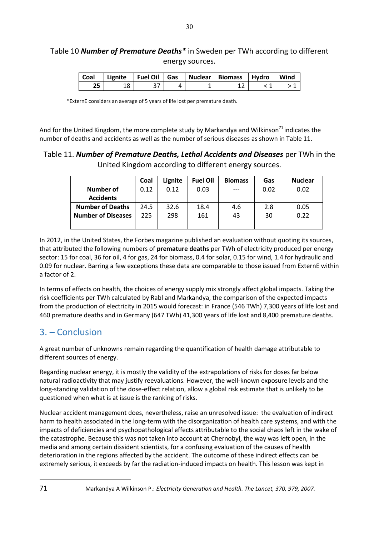## Table 10 *Number of Premature Deaths\** in Sweden per TWh according to different energy sources.

|  |  | Coal   Lignite   Fuel Oil   Gas   Nuclear   Biomass   Hydro   Wind |  |
|--|--|--------------------------------------------------------------------|--|
|  |  |                                                                    |  |

\*ExternE considers an average of 5 years of life lost per premature death.

And for the United Kingdom, the more complete study by Markandya and Wilkinson<sup>71</sup> indicates the number of deaths and accidents as well as the number of serious diseases as shown in Table 11.

### Table 11. *Number of Premature Deaths, Lethal Accidents and Diseases* per TWh in the United Kingdom according to different energy sources.

|                           | Coal | Lignite | <b>Fuel Oil</b> | <b>Biomass</b> | Gas  | <b>Nuclear</b> |
|---------------------------|------|---------|-----------------|----------------|------|----------------|
| <b>Number of</b>          | 0.12 | 0.12    | 0.03            |                | 0.02 | 0.02           |
| <b>Accidents</b>          |      |         |                 |                |      |                |
| <b>Number of Deaths</b>   | 24.5 | 32.6    | 18.4            | 4.6            | 2.8  | 0.05           |
| <b>Number of Diseases</b> | 225  | 298     | 161             | 43             | 30   | 0.22           |
|                           |      |         |                 |                |      |                |

In 2012, in the United States, the Forbes magazine published an evaluation without quoting its sources, that attributed the following numbers of **premature deaths** per TWh of electricity produced per energy sector: 15 for coal, 36 for oil, 4 for gas, 24 for biomass, 0.4 for solar, 0.15 for wind, 1.4 for hydraulic and 0.09 for nuclear. Barring a few exceptions these data are comparable to those issued from ExternE within a factor of 2.

In terms of effects on health, the choices of energy supply mix strongly affect global impacts. Taking the risk coefficients per TWh calculated by Rabl and Markandya, the comparison of the expected impacts from the production of electricity in 2015 would forecast: in France (546 TWh) 7,300 years of life lost and 460 premature deaths and in Germany (647 TWh) 41,300 years of life lost and 8,400 premature deaths.

# <span id="page-29-0"></span>3. – Conclusion

A great number of unknowns remain regarding the quantification of health damage attributable to different sources of energy.

Regarding nuclear energy, it is mostly the validity of the extrapolations of risks for doses far below natural radioactivity that may justify reevaluations. However, the well-known exposure levels and the long-standing validation of the dose-effect relation, allow a global risk estimate that is unlikely to be questioned when what is at issue is the ranking of risks.

Nuclear accident management does, nevertheless, raise an unresolved issue: the evaluation of indirect harm to health associated in the long-term with the disorganization of health care systems, and with the impacts of deficiencies and psychopathological effects attributable to the social chaos left in the wake of the catastrophe. Because this was not taken into account at Chernobyl, the way was left open, in the media and among certain dissident scientists, for a confusing evaluation of the causes of health deterioration in the regions affected by the accident. The outcome of these indirect effects can be extremely serious, it exceeds by far the radiation-induced impacts on health. This lesson was kept in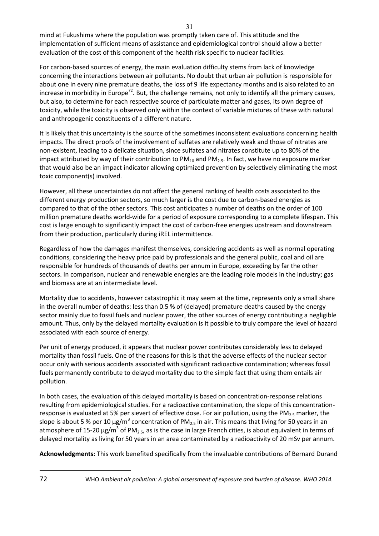mind at Fukushima where the population was promptly taken care of. This attitude and the implementation of sufficient means of assistance and epidemiological control should allow a better evaluation of the cost of this component of the health risk specific to nuclear facilities.

For carbon-based sources of energy, the main evaluation difficulty stems from lack of knowledge concerning the interactions between air pollutants. No doubt that urban air pollution is responsible for about one in every nine premature deaths, the loss of 9 life expectancy months and is also related to an increase in morbidity in Europe<sup>72</sup>. But, the challenge remains, not only to identify all the primary causes, but also, to determine for each respective source of particulate matter and gases, its own degree of toxicity, while the toxicity is observed only within the context of variable mixtures of these with natural and anthropogenic constituents of a different nature.

It is likely that this uncertainty is the source of the sometimes inconsistent evaluations concerning health impacts. The direct proofs of the involvement of sulfates are relatively weak and those of nitrates are non-existent, leading to a delicate situation, since sulfates and nitrates constitute up to 80% of the impact attributed by way of their contribution to  $PM_{10}$  and  $PM_{25}$ . In fact, we have no exposure marker that would also be an impact indicator allowing optimized prevention by selectively eliminating the most toxic component(s) involved.

However, all these uncertainties do not affect the general ranking of health costs associated to the different energy production sectors, so much larger is the cost due to carbon-based energies as compared to that of the other sectors. This cost anticipates a number of deaths on the order of 100 million premature deaths world-wide for a period of exposure corresponding to a complete lifespan. This cost is large enough to significantly impact the cost of carbon-free energies upstream and downstream from their production, particularly during iREL intermittence.

Regardless of how the damages manifest themselves, considering accidents as well as normal operating conditions, considering the heavy price paid by professionals and the general public, coal and oil are responsible for hundreds of thousands of deaths per annum in Europe, exceeding by far the other sectors. In comparison, nuclear and renewable energies are the leading role models in the industry; gas and biomass are at an intermediate level.

Mortality due to accidents, however catastrophic it may seem at the time, represents only a small share in the overall number of deaths: less than 0.5 % of (delayed) premature deaths caused by the energy sector mainly due to fossil fuels and nuclear power, the other sources of energy contributing a negligible amount. Thus, only by the delayed mortality evaluation is it possible to truly compare the level of hazard associated with each source of energy.

Per unit of energy produced, it appears that nuclear power contributes considerably less to delayed mortality than fossil fuels. One of the reasons for this is that the adverse effects of the nuclear sector occur only with serious accidents associated with significant radioactive contamination; whereas fossil fuels permanently contribute to delayed mortality due to the simple fact that using them entails air pollution.

In both cases, the evaluation of this delayed mortality is based on concentration-response relations resulting from epidemiological studies. For a radioactive contamination, the slope of this concentrationresponse is evaluated at 5% per sievert of effective dose. For air pollution, using the  $PM_{2.5}$  marker, the slope is about 5 % per 10  $\mu$ g/m<sup>3</sup> concentration of PM<sub>2.5</sub> in air. This means that living for 50 years in an atmosphere of 15-20  $\mu$ g/m<sup>3</sup> of PM<sub>2.5</sub>, as is the case in large French cities, is about equivalent in terms of delayed mortality as living for 50 years in an area contaminated by a radioactivity of 20 mSv per annum.

**Acknowledgments:** This work benefited specifically from the invaluable contributions of Bernard Durand